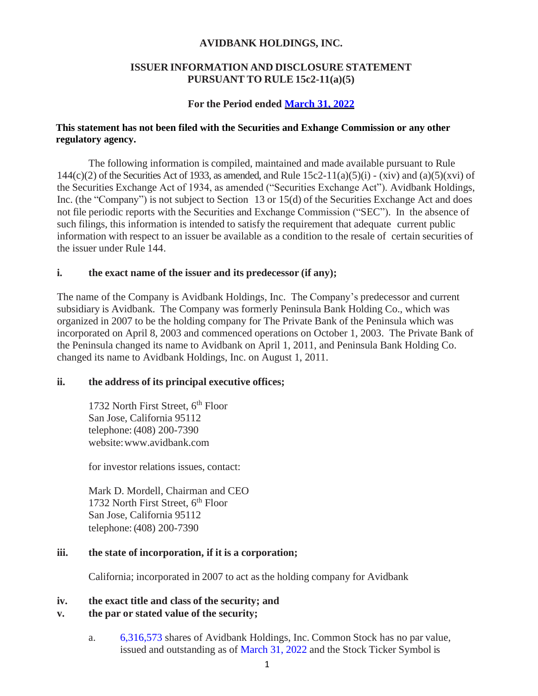# **AVIDBANK HOLDINGS, INC.**

### **ISSUER INFORMATION AND DISCLOSURE STATEMENT PURSUANT TO RULE 15c2-11(a)(5)**

# **For the Period ended March 31, 2022**

# **This statement has not been filed with the Securities and Exhange Commission or any other regulatory agency.**

The following information is compiled, maintained and made available pursuant to Rule  $144(c)(2)$  of the Securities Act of 1933, as amended, and Rule  $15c2-11(a)(5)(i)$  - (xiv) and (a)(5)(xvi) of the Securities Exchange Act of 1934, as amended ("Securities Exchange Act"). Avidbank Holdings, Inc. (the "Company") is not subject to Section 13 or 15(d) of the Securities Exchange Act and does not file periodic reports with the Securities and Exchange Commission ("SEC"). In the absence of such filings, this information is intended to satisfy the requirement that adequate current public information with respect to an issuer be available as a condition to the resale of certain securities of the issuer under Rule 144.

### **i. the exact name of the issuer and its predecessor (if any);**

The name of the Company is Avidbank Holdings, Inc. The Company's predecessor and current subsidiary is Avidbank. The Company was formerly Peninsula Bank Holding Co., which was organized in 2007 to be the holding company for The Private Bank of the Peninsula which was incorporated on April 8, 2003 and commenced operations on October 1, 2003. The Private Bank of the Peninsula changed its name to Avidbank on April 1, 2011, and Peninsula Bank Holding Co. changed its name to Avidbank Holdings, Inc. on August 1, 2011.

### **ii. the address of its principal executive offices;**

1732 North First Street,  $6<sup>th</sup>$  Floor San Jose, California 95112 telephone:(408) 200-7390 website:www.avidbank.com

for investor relations issues, contact:

Mark D. Mordell, Chairman and CEO 1732 North First Street,  $6<sup>th</sup>$  Floor San Jose, California 95112 telephone:(408) 200-7390

# **iii. the state of incorporation, if it is a corporation;**

California; incorporated in 2007 to act as the holding company for Avidbank

### **iv. the exact title and class of the security; and**

### **v. the par or stated value of the security;**

a. 6,316,573 shares of Avidbank Holdings, Inc. Common Stock has no par value, issued and outstanding as of March 31, 2022 and the Stock Ticker Symbol is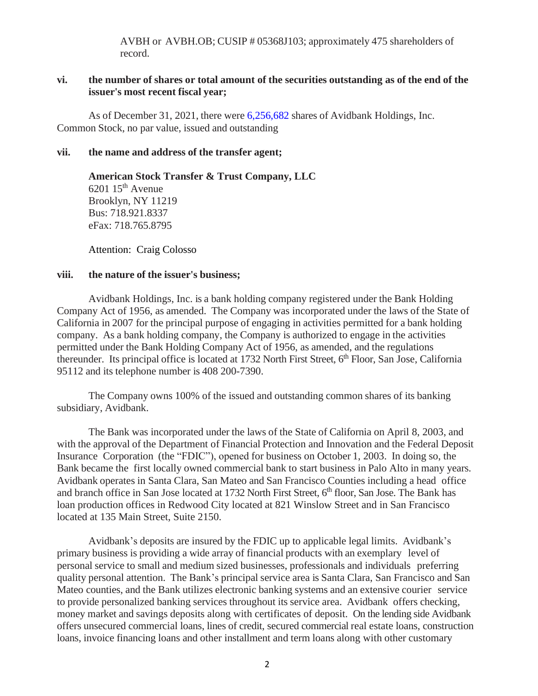AVBH or AVBH.OB; CUSIP # 05368J103; approximately 475 shareholders of record.

### **vi. the number of shares or total amount of the securities outstanding as of the end of the issuer's most recent fiscal year;**

As of December 31, 2021, there were 6,256,682 shares of Avidbank Holdings, Inc. Common Stock, no par value, issued and outstanding

### **vii. the name and address of the transfer agent;**

**American Stock Transfer & Trust Company, LLC**  $6201$   $15<sup>th</sup>$  Avenue Brooklyn, NY 11219 Bus: 718.921.8337 eFax: 718.765.8795

Attention: Craig Colosso

#### **viii. the nature of the issuer's business;**

Avidbank Holdings, Inc. is a bank holding company registered under the Bank Holding Company Act of 1956, as amended. The Company was incorporated under the laws of the State of California in 2007 for the principal purpose of engaging in activities permitted for a bank holding company. As a bank holding company, the Company is authorized to engage in the activities permitted under the Bank Holding Company Act of 1956, as amended, and the regulations thereunder. Its principal office is located at 1732 North First Street,  $6<sup>th</sup>$  Floor, San Jose, California 95112 and its telephone number is 408 200-7390.

The Company owns 100% of the issued and outstanding common shares of its banking subsidiary, Avidbank.

The Bank was incorporated under the laws of the State of California on April 8, 2003, and with the approval of the Department of Financial Protection and Innovation and the Federal Deposit Insurance Corporation (the "FDIC"), opened for business on October 1, 2003. In doing so, the Bank became the first locally owned commercial bank to start business in Palo Alto in many years. Avidbank operates in Santa Clara, San Mateo and San Francisco Counties including a head office and branch office in San Jose located at 1732 North First Street, 6<sup>th</sup> floor, San Jose. The Bank has loan production offices in Redwood City located at 821 Winslow Street and in San Francisco located at 135 Main Street, Suite 2150.

Avidbank's deposits are insured by the FDIC up to applicable legal limits. Avidbank's primary business is providing a wide array of financial products with an exemplary level of personal service to small and medium sized businesses, professionals and individuals preferring quality personal attention. The Bank's principal service area is Santa Clara, San Francisco and San Mateo counties, and the Bank utilizes electronic banking systems and an extensive courier service to provide personalized banking services throughout its service area. Avidbank offers checking, money market and savings deposits along with certificates of deposit. On the lending side Avidbank offers unsecured commercial loans, lines of credit, secured commercial real estate loans, construction loans, invoice financing loans and other installment and term loans along with other customary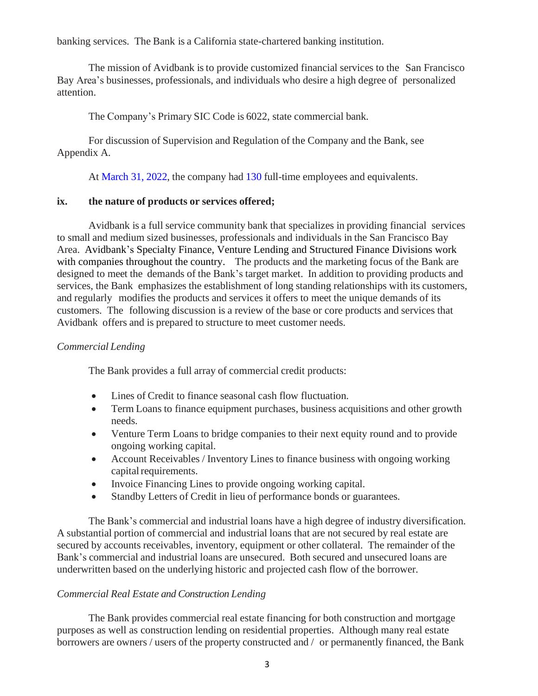banking services. The Bank is a California state-chartered banking institution.

The mission of Avidbank is to provide customized financial services to the San Francisco Bay Area's businesses, professionals, and individuals who desire a high degree of personalized attention.

The Company's Primary SIC Code is 6022, state commercial bank.

For discussion of Supervision and Regulation of the Company and the Bank, see Appendix A.

At March 31, 2022, the company had 130 full-time employees and equivalents.

# **ix. the nature of products or services offered;**

Avidbank is a full service community bank that specializes in providing financial services to small and medium sized businesses, professionals and individuals in the San Francisco Bay Area. Avidbank's Specialty Finance, Venture Lending and Structured Finance Divisions work with companies throughout the country. The products and the marketing focus of the Bank are designed to meet the demands of the Bank's target market. In addition to providing products and services, the Bank emphasizes the establishment of long standing relationships with its customers, and regularly modifies the products and services it offers to meet the unique demands of its customers. The following discussion is a review of the base or core products and services that Avidbank offers and is prepared to structure to meet customer needs.

# *Commercial Lending*

The Bank provides a full array of commercial credit products:

- Lines of Credit to finance seasonal cash flow fluctuation.
- Term Loans to finance equipment purchases, business acquisitions and other growth needs.
- Venture Term Loans to bridge companies to their next equity round and to provide ongoing working capital.
- Account Receivables / Inventory Lines to finance business with ongoing working capital requirements.
- Invoice Financing Lines to provide ongoing working capital.
- Standby Letters of Credit in lieu of performance bonds or guarantees.

The Bank's commercial and industrial loans have a high degree of industry diversification. A substantial portion of commercial and industrial loans that are not secured by real estate are secured by accounts receivables, inventory, equipment or other collateral. The remainder of the Bank's commercial and industrial loans are unsecured. Both secured and unsecured loans are underwritten based on the underlying historic and projected cash flow of the borrower.

### *Commercial Real Estate and Construction Lending*

The Bank provides commercial real estate financing for both construction and mortgage purposes as well as construction lending on residential properties. Although many real estate borrowers are owners / users of the property constructed and / or permanently financed, the Bank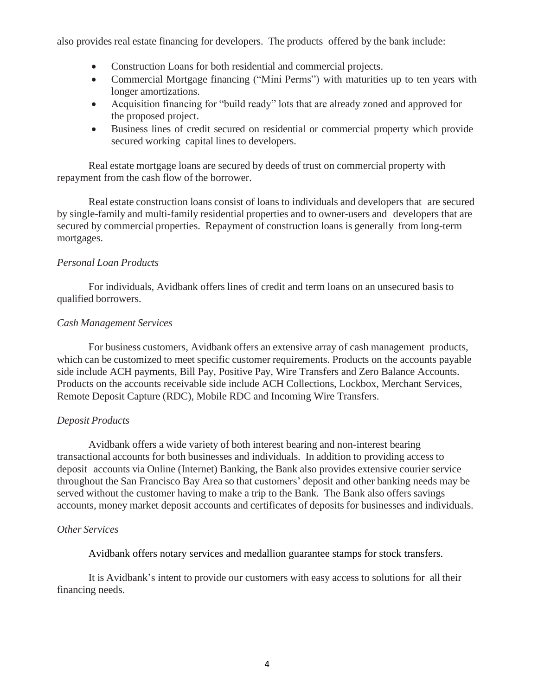also provides real estate financing for developers. The products offered by the bank include:

- Construction Loans for both residential and commercial projects.
- Commercial Mortgage financing ("Mini Perms") with maturities up to ten years with longer amortizations.
- Acquisition financing for "build ready" lots that are already zoned and approved for the proposed project.
- Business lines of credit secured on residential or commercial property which provide secured working capital lines to developers.

Real estate mortgage loans are secured by deeds of trust on commercial property with repayment from the cash flow of the borrower.

Real estate construction loans consist of loans to individuals and developers that are secured by single-family and multi-family residential properties and to owner-users and developers that are secured by commercial properties. Repayment of construction loans is generally from long-term mortgages.

# *Personal Loan Products*

For individuals, Avidbank offers lines of credit and term loans on an unsecured basis to qualified borrowers.

# *Cash Management Services*

For business customers, Avidbank offers an extensive array of cash management products, which can be customized to meet specific customer requirements. Products on the accounts payable side include ACH payments, Bill Pay, Positive Pay, Wire Transfers and Zero Balance Accounts. Products on the accounts receivable side include ACH Collections, Lockbox, Merchant Services, Remote Deposit Capture (RDC), Mobile RDC and Incoming Wire Transfers.

# *Deposit Products*

Avidbank offers a wide variety of both interest bearing and non-interest bearing transactional accounts for both businesses and individuals. In addition to providing access to deposit accounts via Online (Internet) Banking, the Bank also provides extensive courier service throughout the San Francisco Bay Area so that customers' deposit and other banking needs may be served without the customer having to make a trip to the Bank. The Bank also offers savings accounts, money market deposit accounts and certificates of deposits for businesses and individuals.

### *Other Services*

Avidbank offers notary services and medallion guarantee stamps for stock transfers.

It is Avidbank's intent to provide our customers with easy access to solutions for all their financing needs.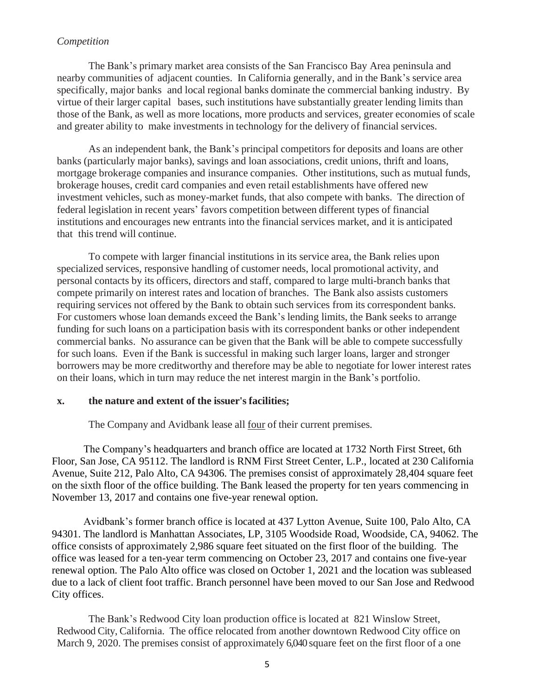### *Competition*

The Bank's primary market area consists of the San Francisco Bay Area peninsula and nearby communities of adjacent counties. In California generally, and in the Bank's service area specifically, major banks and local regional banks dominate the commercial banking industry. By virtue of their larger capital bases, such institutions have substantially greater lending limits than those of the Bank, as well as more locations, more products and services, greater economies of scale and greater ability to make investments in technology for the delivery of financial services.

As an independent bank, the Bank's principal competitors for deposits and loans are other banks (particularly major banks), savings and loan associations, credit unions, thrift and loans, mortgage brokerage companies and insurance companies. Other institutions, such as mutual funds, brokerage houses, credit card companies and even retail establishments have offered new investment vehicles, such as money-market funds, that also compete with banks. The direction of federal legislation in recent years' favors competition between different types of financial institutions and encourages new entrants into the financial services market, and it is anticipated that this trend will continue.

To compete with larger financial institutions in its service area, the Bank relies upon specialized services, responsive handling of customer needs, local promotional activity, and personal contacts by its officers, directors and staff, compared to large multi-branch banks that compete primarily on interest rates and location of branches. The Bank also assists customers requiring services not offered by the Bank to obtain such services from its correspondent banks. For customers whose loan demands exceed the Bank's lending limits, the Bank seeks to arrange funding for such loans on a participation basis with its correspondent banks or other independent commercial banks. No assurance can be given that the Bank will be able to compete successfully for such loans. Even if the Bank is successful in making such larger loans, larger and stronger borrowers may be more creditworthy and therefore may be able to negotiate for lower interest rates on their loans, which in turn may reduce the net interest margin in the Bank's portfolio.

#### **x. the nature and extent of the issuer's facilities;**

The Company and Avidbank lease all <u>four</u> of their current premises.

The Company's headquarters and branch office are located at 1732 North First Street, 6th Floor, San Jose, CA 95112. The landlord is RNM First Street Center, L.P., located at 230 California Avenue, Suite 212, Palo Alto, CA 94306. The premises consist of approximately 28,404 square feet on the sixth floor of the office building. The Bank leased the property for ten years commencing in November 13, 2017 and contains one five-year renewal option.

Avidbank's former branch office is located at 437 Lytton Avenue, Suite 100, Palo Alto, CA 94301. The landlord is Manhattan Associates, LP, 3105 Woodside Road, Woodside, CA, 94062. The office consists of approximately 2,986 square feet situated on the first floor of the building. The office was leased for a ten-year term commencing on October 23, 2017 and contains one five-year renewal option. The Palo Alto office was closed on October 1, 2021 and the location was subleased due to a lack of client foot traffic. Branch personnel have been moved to our San Jose and Redwood City offices.

The Bank's Redwood City loan production office is located at 821 Winslow Street, Redwood City, California. The office relocated from another downtown Redwood City office on March 9, 2020. The premises consist of approximately 6,040 square feet on the first floor of a one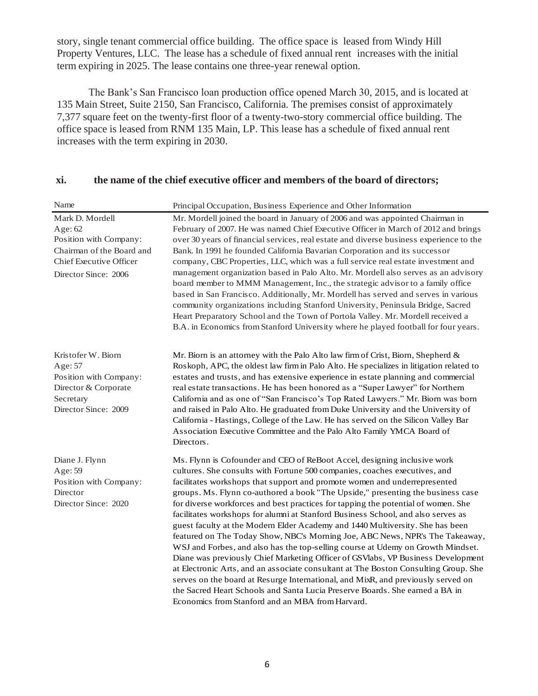story, single tenant commercial office building. The office space is leased from Windy Hill Property Ventures, LLC. The lease has a schedule of fixed annual rent increases with the initial term expiring in 2025. The lease contains one three-year renewal option.

The Bank's San Francisco loan production office opened March 30, 2015, and is located at 135 Main Street, Suite 2150, San Francisco, California. The premises consist of approximately 7,377 square feet on the twenty-first floor of a twenty-two-story commercial office building. The office space is leased from RNM 135 Main, LP. This lease has a schedule of fixed annual rent increases with the term expiring in 2030.

### **xi. the name of the chief executive officer and members of the board of directors;**

| Name                                                                                                                                 | Principal Occupation, Business Experience and Other Information                                                                                                                                                                                                                                                                                                                                                                                                                                                                                                                                                                                                                                                                                                                                                                                                                                                                                                                                                                                                                                                                                        |
|--------------------------------------------------------------------------------------------------------------------------------------|--------------------------------------------------------------------------------------------------------------------------------------------------------------------------------------------------------------------------------------------------------------------------------------------------------------------------------------------------------------------------------------------------------------------------------------------------------------------------------------------------------------------------------------------------------------------------------------------------------------------------------------------------------------------------------------------------------------------------------------------------------------------------------------------------------------------------------------------------------------------------------------------------------------------------------------------------------------------------------------------------------------------------------------------------------------------------------------------------------------------------------------------------------|
| Mark D. Mordell<br>Age: 62<br>Position with Company:<br>Chairman of the Board and<br>Chief Executive Officer<br>Director Since: 2006 | Mr. Mordell joined the board in January of 2006 and was appointed Chairman in<br>February of 2007. He was named Chief Executive Officer in March of 2012 and brings<br>over 30 years of financial services, real estate and diverse business experience to the<br>Bank. In 1991 he founded California Bavarian Corporation and its successor<br>company, CBC Properties, LLC, which was a full service real estate investment and<br>management organization based in Palo Alto. Mr. Mordell also serves as an advisory<br>board member to MMM Management, Inc., the strategic advisor to a family office<br>based in San Francisco. Additionally, Mr. Mordell has served and serves in various<br>community organizations including Stanford University, Peninsula Bridge, Sacred<br>Heart Preparatory School and the Town of Portola Valley. Mr. Mordell received a<br>B.A. in Economics from Stanford University where he played football for four years.                                                                                                                                                                                           |
| Kristofer W. Biorn<br>Age: 57<br>Position with Company:<br>Director & Corporate<br>Secretary<br>Director Since: 2009                 | Mr. Biorn is an attorney with the Palo Alto law firm of Crist, Biorn, Shepherd &<br>Roskoph, APC, the oldest law firm in Palo Alto. He specializes in litigation related to<br>estates and trusts, and has extensive experience in estate planning and commercial<br>real estate transactions. He has been honored as a "Super Lawyer" for Northern<br>California and as one of "San Francisco's Top Rated Lawyers." Mr. Biorn was born<br>and raised in Palo Alto. He graduated from Duke University and the University of<br>California - Hastings, College of the Law. He has served on the Silicon Valley Bar<br>Association Executive Committee and the Palo Alto Family YMCA Board of<br>Directors.                                                                                                                                                                                                                                                                                                                                                                                                                                              |
| Diane J. Flynn<br>Age: 59<br>Position with Company:<br>Director<br>Director Since: 2020                                              | Ms. Flynn is Cofounder and CEO of ReBoot Accel, designing inclusive work<br>cultures. She consults with Fortune 500 companies, coaches executives, and<br>facilitates workshops that support and promote women and underrepresented<br>groups. Ms. Flynn co-authored a book "The Upside," presenting the business case<br>for diverse workforces and best practices for tapping the potential of women. She<br>facilitates workshops for alumni at Stanford Business School, and also serves as<br>guest faculty at the Modern Elder Academy and 1440 Multiversity. She has been<br>featured on The Today Show, NBC's Morning Joe, ABC News, NPR's The Takeaway,<br>WSJ and Forbes, and also has the top-selling course at Udemy on Growth Mindset.<br>Diane was previously Chief Marketing Officer of GSVlabs, VP Business Development<br>at Electronic Arts, and an associate consultant at The Boston Consulting Group. She<br>serves on the board at Resurge International, and MixR, and previously served on<br>the Sacred Heart Schools and Santa Lucia Preserve Boards. She earned a BA in<br>Economics from Stanford and an MBA from Harvard. |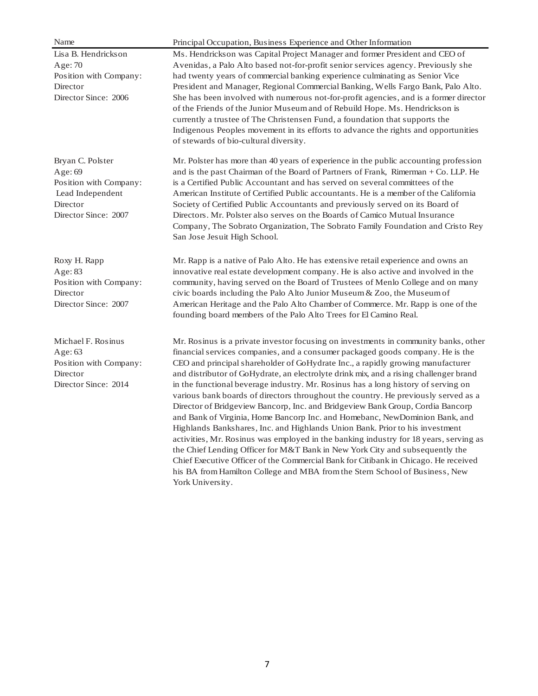Name Principal Occupation, Business Experience and Other Information Lisa B. Hendrickson Age: 70 Position with Company: Director Director Since: 2006 Bryan C. Polster Age: 69 Position with Company: Lead Independent **Director** Director Since: 2007 Roxy H. Rapp Age: 83 Position with Company: Director Director Since: 2007 Michael F. Rosinus Age: 63 Position with Company: **Director** Director Since: 2014 Ms. Hendrickson was Capital Project Manager and former President and CEO of Avenidas, a Palo Alto based not-for-profit senior services agency. Previously she had twenty years of commercial banking experience culminating as Senior Vice President and Manager, Regional Commercial Banking, Wells Fargo Bank, Palo Alto. She has been involved with numerous not-for-profit agencies, and is a former director of the Friends of the Junior Museum and of Rebuild Hope. Ms. Hendrickson is currently a trustee of The Christensen Fund, a foundation that supports the Indigenous Peoples movement in its efforts to advance the rights and opportunities of stewards of bio-cultural diversity. Mr. Polster has more than 40 years of experience in the public accounting profession and is the past Chairman of the Board of Partners of Frank, Rimerman + Co. LLP. He is a Certified Public Accountant and has served on several committees of the American Institute of Certified Public accountants. He is a member of the California Society of Certified Public Accountants and previously served on its Board of Directors. Mr. Polster also serves on the Boards of Camico Mutual Insurance Company, The Sobrato Organization, The Sobrato Family Foundation and Cristo Rey San Jose Jesuit High School. Mr. Rapp is a native of Palo Alto. He has extensive retail experience and owns an innovative real estate development company. He is also active and involved in the community, having served on the Board of Trustees of Menlo College and on many civic boards including the Palo Alto Junior Museum & Zoo, the Museum of American Heritage and the Palo Alto Chamber of Commerce. Mr. Rapp is one of the founding board members of the Palo Alto Trees for El Camino Real. Mr. Rosinus is a private investor focusing on investments in community banks, other financial services companies, and a consumer packaged goods company. He is the CEO and principal shareholder of GoHydrate Inc., a rapidly growing manufacturer and distributor of GoHydrate, an electrolyte drink mix, and a rising challenger brand in the functional beverage industry. Mr. Rosinus has a long history of serving on various bank boards of directors throughout the country. He previously served as a Director of Bridgeview Bancorp, Inc. and Bridgeview Bank Group, Cordia Bancorp and Bank of Virginia, Home Bancorp Inc. and Homebanc, NewDominion Bank, and Highlands Bankshares, Inc. and Highlands Union Bank. Prior to his investment activities, Mr. Rosinus was employed in the banking industry for 18 years, serving as the Chief Lending Officer for M&T Bank in New York City and subsequently the

Chief Executive Officer of the Commercial Bank for Citibank in Chicago. He received his BA from Hamilton College and MBA from the Stern School of Business, New York University.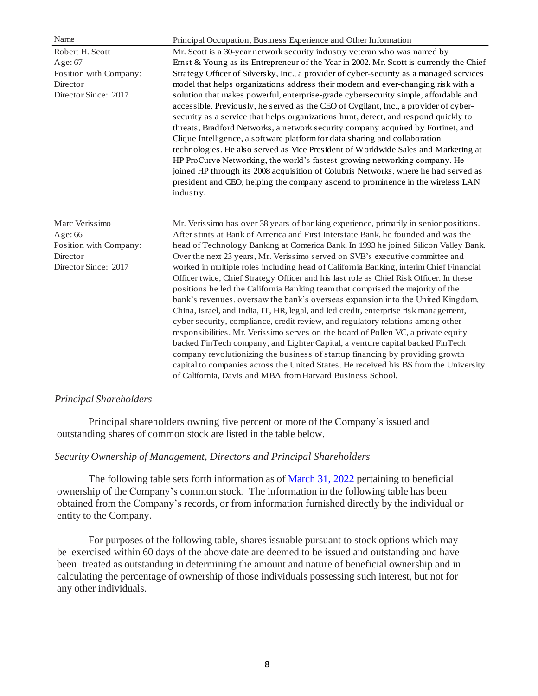| Name                   | Principal Occupation, Business Experience and Other Information                                                                                                                                                                                                                                                                                                                                                                                                                                                                                                                                                                                                                                                                                                                                                                                                                     |
|------------------------|-------------------------------------------------------------------------------------------------------------------------------------------------------------------------------------------------------------------------------------------------------------------------------------------------------------------------------------------------------------------------------------------------------------------------------------------------------------------------------------------------------------------------------------------------------------------------------------------------------------------------------------------------------------------------------------------------------------------------------------------------------------------------------------------------------------------------------------------------------------------------------------|
| Robert H. Scott        | Mr. Scott is a 30-year network security industry veteran who was named by                                                                                                                                                                                                                                                                                                                                                                                                                                                                                                                                                                                                                                                                                                                                                                                                           |
| Age: 67                | Ernst & Young as its Entrepreneur of the Year in 2002. Mr. Scott is currently the Chief                                                                                                                                                                                                                                                                                                                                                                                                                                                                                                                                                                                                                                                                                                                                                                                             |
| Position with Company: | Strategy Officer of Silversky, Inc., a provider of cyber-security as a managed services                                                                                                                                                                                                                                                                                                                                                                                                                                                                                                                                                                                                                                                                                                                                                                                             |
| Director               | model that helps organizations address their modern and ever-changing risk with a                                                                                                                                                                                                                                                                                                                                                                                                                                                                                                                                                                                                                                                                                                                                                                                                   |
| Director Since: 2017   | solution that makes powerful, enterprise-grade cybersecurity simple, affordable and<br>accessible. Previously, he served as the CEO of Cygilant, Inc., a provider of cyber-<br>security as a service that helps organizations hunt, detect, and respond quickly to<br>threats, Bradford Networks, a network security company acquired by Fortinet, and<br>Clique Intelligence, a software platform for data sharing and collaboration<br>technologies. He also served as Vice President of Worldwide Sales and Marketing at<br>HP ProCurve Networking, the world's fastest-growing networking company. He<br>joined HP through its 2008 acquisition of Colubris Networks, where he had served as<br>president and CEO, helping the company ascend to prominence in the wireless LAN<br>industry.                                                                                    |
| Marc Verissimo         | Mr. Verissimo has over 38 years of banking experience, primarily in senior positions.                                                                                                                                                                                                                                                                                                                                                                                                                                                                                                                                                                                                                                                                                                                                                                                               |
| Age: 66                | After stints at Bank of America and First Interstate Bank, he founded and was the                                                                                                                                                                                                                                                                                                                                                                                                                                                                                                                                                                                                                                                                                                                                                                                                   |
| Position with Company: | head of Technology Banking at Comerica Bank. In 1993 he joined Silicon Valley Bank.                                                                                                                                                                                                                                                                                                                                                                                                                                                                                                                                                                                                                                                                                                                                                                                                 |
| Director               | Over the next 23 years, Mr. Verissimo served on SVB's executive committee and                                                                                                                                                                                                                                                                                                                                                                                                                                                                                                                                                                                                                                                                                                                                                                                                       |
| Director Since: 2017   | worked in multiple roles including head of California Banking, interim Chief Financial<br>Officer twice, Chief Strategy Officer and his last role as Chief Risk Officer. In these<br>positions he led the California Banking team that comprised the majority of the<br>bank's revenues, oversaw the bank's overseas expansion into the United Kingdom,<br>China, Israel, and India, IT, HR, legal, and led credit, enterprise risk management,<br>cyber security, compliance, credit review, and regulatory relations among other<br>responsibilities. Mr. Verissimo serves on the board of Pollen VC, a private equity<br>backed FinTech company, and Lighter Capital, a venture capital backed FinTech<br>company revolutionizing the business of startup financing by providing growth<br>capital to companies across the United States. He received his BS from the University |
|                        | of California, Davis and MBA from Harvard Business School.                                                                                                                                                                                                                                                                                                                                                                                                                                                                                                                                                                                                                                                                                                                                                                                                                          |

#### *Principal Shareholders*

Principal shareholders owning five percent or more of the Company's issued and outstanding shares of common stock are listed in the table below.

#### *Security Ownership of Management, Directors and Principal Shareholders*

The following table sets forth information as of March 31, 2022 pertaining to beneficial ownership of the Company's common stock. The information in the following table has been obtained from the Company's records, or from information furnished directly by the individual or entity to the Company.

For purposes of the following table, shares issuable pursuant to stock options which may be exercised within 60 days of the above date are deemed to be issued and outstanding and have been treated as outstanding in determining the amount and nature of beneficial ownership and in calculating the percentage of ownership of those individuals possessing such interest, but not for any other individuals.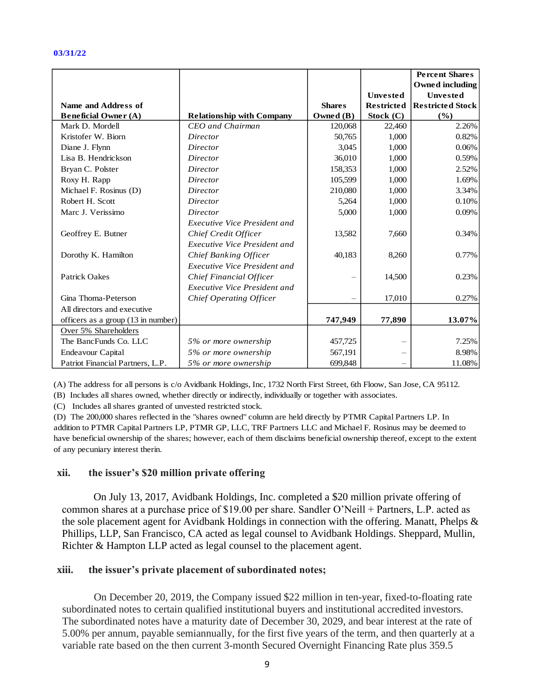#### **03/31/22**

|                                    |                                     |               |                   | <b>Percent Shares</b>   |
|------------------------------------|-------------------------------------|---------------|-------------------|-------------------------|
|                                    |                                     |               |                   | Owned including         |
|                                    |                                     |               | Unvested          | <b>Unvested</b>         |
| Name and Address of                |                                     | <b>Shares</b> | <b>Restricted</b> | <b>Restricted Stock</b> |
| <b>Beneficial Owner (A)</b>        | <b>Relationship with Company</b>    | Owned (B)     | Stock (C)         | (%)                     |
| Mark D. Mordell                    | CEO and Chairman                    | 120,068       | 22,460            | 2.26%                   |
| Kristofer W. Biorn                 | <i>Director</i>                     | 50,765        | 1,000             | 0.82%                   |
| Diane J. Flynn                     | Director                            | 3,045         | 1,000             | 0.06%                   |
| Lisa B. Hendrickson                | Director                            | 36,010        | 1,000             | 0.59%                   |
| Bryan C. Polster                   | Director                            | 158,353       | 1,000             | 2.52%                   |
| Roxy H. Rapp                       | Director                            | 105,599       | 1,000             | 1.69%                   |
| Michael F. Rosinus (D)             | <b>Director</b>                     | 210,080       | 1,000             | 3.34%                   |
| Robert H. Scott                    | <b>Director</b>                     | 5,264         | 1,000             | 0.10%                   |
| Marc J. Verissimo                  | Director                            | 5,000         | 1,000             | 0.09%                   |
|                                    | Executive Vice President and        |               |                   |                         |
| Geoffrey E. Butner                 | Chief Credit Officer                | 13,582        | 7,660             | 0.34%                   |
|                                    | <b>Executive Vice President and</b> |               |                   |                         |
| Dorothy K. Hamilton                | Chief Banking Officer               | 40,183        | 8,260             | 0.77%                   |
|                                    | <b>Executive Vice President and</b> |               |                   |                         |
| <b>Patrick Oakes</b>               | Chief Financial Officer             |               | 14,500            | 0.23%                   |
|                                    | <b>Executive Vice President and</b> |               |                   |                         |
| Gina Thoma-Peterson                | Chief Operating Officer             | $\equiv$      | 17,010            | 0.27%                   |
| All directors and executive        |                                     |               |                   |                         |
| officers as a group (13 in number) |                                     | 747,949       | 77,890            | 13.07%                  |
| Over 5% Shareholders               |                                     |               |                   |                         |
| The BancFunds Co. LLC              | 5% or more ownership                | 457,725       |                   | 7.25%                   |
| Endeavour Capital                  | 5% or more ownership                | 567,191       |                   | 8.98%                   |
| Patriot Financial Partners, L.P.   | 5% or more ownership                | 699,848       |                   | 11.08%                  |

(A) The address for all persons is c/o Avidbank Holdings, Inc, 1732 North First Street, 6th Floow, San Jose, CA 95112.

(B) Includes all shares owned, whether directly or indirectly, individually or together with associates.

(C) Includes all shares granted of unvested restricted stock.

(D) The 200,000 shares reflected in the "shares owned" column are held directly by PTMR Capital Partners LP. In addition to PTMR Capital Partners LP, PTMR GP, LLC, TRF Partners LLC and Michael F. Rosinus may be deemed to have beneficial ownership of the shares; however, each of them disclaims beneficial ownership thereof, except to the extent of any pecuniary interest therin.

### **xii. the issuer's \$20 million private offering**

On July 13, 2017, Avidbank Holdings, Inc. completed a \$20 million private offering of common shares at a purchase price of \$19.00 per share. Sandler O'Neill + Partners, L.P. acted as the sole placement agent for Avidbank Holdings in connection with the offering. Manatt, Phelps & Phillips, LLP, San Francisco, CA acted as legal counsel to Avidbank Holdings. Sheppard, Mullin, Richter & Hampton LLP acted as legal counsel to the placement agent.

### **xiii. the issuer's private placement of subordinated notes;**

On December 20, 2019, the Company issued \$22 million in ten-year, fixed-to-floating rate subordinated notes to certain qualified institutional buyers and institutional accredited investors. The subordinated notes have a maturity date of December 30, 2029, and bear interest at the rate of 5.00% per annum, payable semiannually, for the first five years of the term, and then quarterly at a variable rate based on the then current 3-month Secured Overnight Financing Rate plus 359.5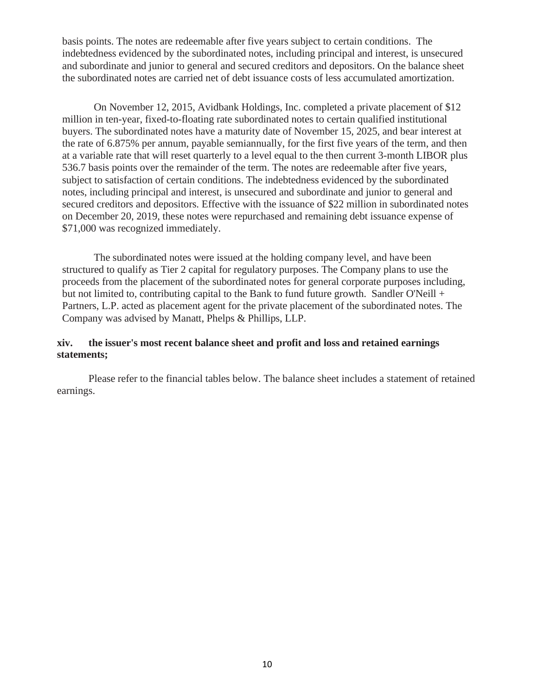basis points. The notes are redeemable after five years subject to certain conditions. The indebtedness evidenced by the subordinated notes, including principal and interest, is unsecured and subordinate and junior to general and secured creditors and depositors. On the balance sheet the subordinated notes are carried net of debt issuance costs of less accumulated amortization.

On November 12, 2015, Avidbank Holdings, Inc. completed a private placement of \$12 million in ten-year, fixed-to-floating rate subordinated notes to certain qualified institutional buyers. The subordinated notes have a maturity date of November 15, 2025, and bear interest at the rate of 6.875% per annum, payable semiannually, for the first five years of the term, and then at a variable rate that will reset quarterly to a level equal to the then current 3-month LIBOR plus 536.7 basis points over the remainder of the term. The notes are redeemable after five years, subject to satisfaction of certain conditions. The indebtedness evidenced by the subordinated notes, including principal and interest, is unsecured and subordinate and junior to general and secured creditors and depositors. Effective with the issuance of \$22 million in subordinated notes on December 20, 2019, these notes were repurchased and remaining debt issuance expense of \$71,000 was recognized immediately.

The subordinated notes were issued at the holding company level, and have been structured to qualify as Tier 2 capital for regulatory purposes. The Company plans to use the proceeds from the placement of the subordinated notes for general corporate purposes including, but not limited to, contributing capital to the Bank to fund future growth. Sandler O'Neill + Partners, L.P. acted as placement agent for the private placement of the subordinated notes. The Company was advised by Manatt, Phelps & Phillips, LLP.

# **xiv. the issuer's most recent balance sheet and profit and loss and retained earnings statements;**

Please refer to the financial tables below. The balance sheet includes a statement of retained earnings.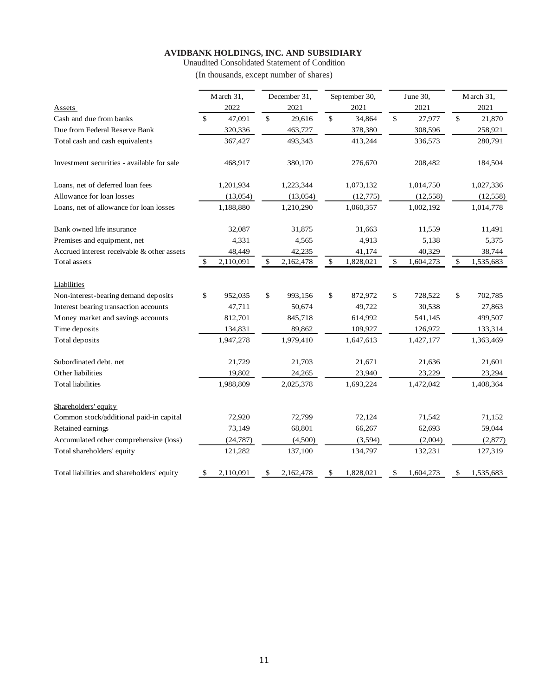#### **AVIDBANK HOLDINGS, INC. AND SUBSIDIARY**

Unaudited Consolidated Statement of Condition

(In thousands, except number of shares)

|                                            | March 31, |           | December 31, |           | September 30, |           |    |           | March 31, |           |
|--------------------------------------------|-----------|-----------|--------------|-----------|---------------|-----------|----|-----------|-----------|-----------|
|                                            |           |           |              |           |               |           |    | June 30,  |           |           |
| <b>Assets</b>                              |           | 2022      |              | 2021      |               | 2021      |    | 2021      |           | 2021      |
| Cash and due from banks                    | \$        | 47,091    | \$           | 29,616    | \$            | 34,864    | \$ | 27,977    | \$        | 21,870    |
| Due from Federal Reserve Bank              |           | 320,336   |              | 463,727   |               | 378,380   |    | 308,596   |           | 258,921   |
| Total cash and cash equivalents            |           | 367,427   |              | 493,343   |               | 413,244   |    | 336,573   |           | 280,791   |
| Investment securities - available for sale |           | 468,917   |              | 380,170   |               | 276,670   |    | 208,482   |           | 184,504   |
| Loans, net of deferred loan fees           |           | 1,201,934 |              | 1,223,344 |               | 1,073,132 |    | 1,014,750 |           | 1,027,336 |
| Allowance for loan losses                  |           | (13,054)  |              | (13,054)  |               | (12, 775) |    | (12, 558) |           | (12, 558) |
| Loans, net of allowance for loan losses    |           | 1,188,880 |              | 1,210,290 |               | 1,060,357 |    | 1,002,192 |           | 1,014,778 |
| Bank owned life insurance                  |           | 32,087    |              | 31,875    |               | 31,663    |    | 11,559    |           | 11,491    |
| Premises and equipment, net                |           | 4,331     |              | 4,565     |               | 4,913     |    | 5,138     |           | 5,375     |
| Accrued interest receivable & other assets |           | 48,449    |              | 42,235    |               | 41,174    |    | 40,329    |           | 38,744    |
| Total assets                               | \$        | 2,110,091 | \$           | 2,162,478 | \$            | 1,828,021 | \$ | 1,604,273 | \$        | 1,535,683 |
| Liabilities                                |           |           |              |           |               |           |    |           |           |           |
| Non-interest-bearing demand deposits       | \$        | 952,035   | \$           | 993,156   | \$            | 872,972   | \$ | 728,522   | \$        | 702,785   |
| Interest bearing transaction accounts      |           | 47,711    |              | 50,674    |               | 49,722    |    | 30,538    |           | 27,863    |
| Money market and savings accounts          |           | 812,701   |              | 845,718   |               | 614,992   |    | 541,145   |           | 499,507   |
| Time deposits                              |           | 134,831   |              | 89,862    |               | 109,927   |    | 126,972   |           | 133,314   |
| Total deposits                             |           | 1,947,278 |              | 1,979,410 |               | 1,647,613 |    | 1,427,177 |           | 1,363,469 |
| Subordinated debt, net                     |           | 21,729    |              | 21,703    |               | 21,671    |    | 21,636    |           | 21,601    |
| Other liabilities                          |           | 19,802    |              | 24,265    |               | 23,940    |    | 23,229    |           | 23,294    |
| <b>Total liabilities</b>                   |           | 1,988,809 |              | 2,025,378 |               | 1,693,224 |    | 1,472,042 |           | 1,408,364 |
| Shareholders' equity                       |           |           |              |           |               |           |    |           |           |           |
| Common stock/additional paid-in capital    |           | 72,920    |              | 72,799    |               | 72,124    |    | 71,542    |           | 71,152    |
| Retained earnings                          |           | 73,149    |              | 68,801    |               | 66,267    |    | 62,693    |           | 59,044    |
| Accumulated other comprehensive (loss)     |           | (24, 787) |              | (4,500)   |               | (3,594)   |    | (2,004)   |           | (2,877)   |
| Total shareholders' equity                 |           | 121,282   |              | 137,100   |               | 134,797   |    | 132,231   |           | 127,319   |
| Total liabilities and shareholders' equity | \$        | 2,110,091 | \$           | 2,162,478 | \$.           | 1,828,021 | \$ | 1,604,273 | \$        | 1,535,683 |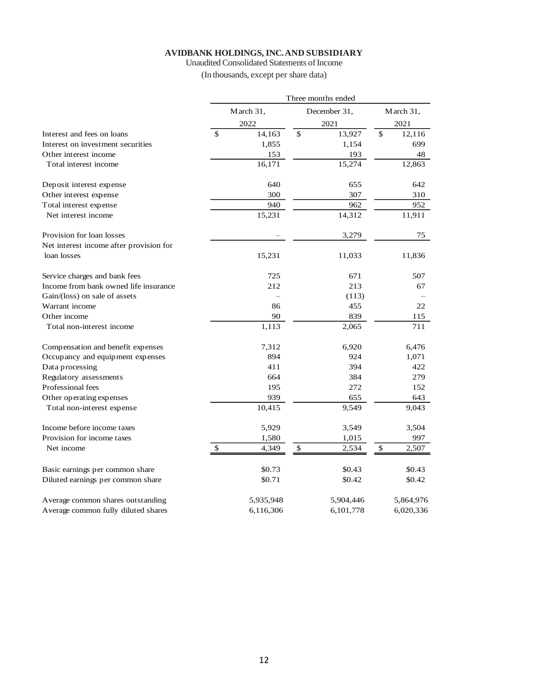# **AVIDBANK HOLDINGS, INC.AND SUBSIDIARY**

# Unaudited Consolidated Statements of Income

(In thousands, except per share data)

|                                         | Three months ended |           |    |              |           |           |  |  |
|-----------------------------------------|--------------------|-----------|----|--------------|-----------|-----------|--|--|
|                                         |                    | March 31, |    | December 31, | March 31, |           |  |  |
|                                         | 2022               |           |    | 2021         | 2021      |           |  |  |
| Interest and fees on loans              | \$                 | 14,163    | \$ | 13,927       | \$        | 12,116    |  |  |
| Interest on investment securities       |                    | 1,855     |    | 1,154        |           | 699       |  |  |
| Other interest income                   |                    | 153       |    | 193          |           | 48        |  |  |
| Total interest income                   |                    | 16,171    |    | 15,274       |           | 12,863    |  |  |
| Deposit interest expense                |                    | 640       |    | 655          |           | 642       |  |  |
| Other interest expense                  |                    | 300       |    | 307          |           | 310       |  |  |
| Total interest expense                  |                    | 940       |    | 962          |           | 952       |  |  |
| Net interest income                     |                    | 15,231    |    | 14,312       |           | 11,911    |  |  |
| Provision for loan losses               |                    |           |    | 3,279        |           | 75        |  |  |
| Net interest income after provision for |                    |           |    |              |           |           |  |  |
| loan losses                             |                    | 15,231    |    | 11,033       |           | 11,836    |  |  |
| Service charges and bank fees           |                    | 725       |    | 671          |           | 507       |  |  |
| Income from bank owned life insurance   |                    | 212       |    | 213          |           | 67        |  |  |
| Gain/(loss) on sale of assets           |                    |           |    | (113)        |           |           |  |  |
| Warrant income                          |                    | 86        |    | 455          |           | 22        |  |  |
| Other income                            |                    | 90        |    | 839          |           | 115       |  |  |
| Total non-interest income               |                    | 1,113     |    | 2,065        |           | 711       |  |  |
| Compensation and benefit expenses       |                    | 7,312     |    | 6,920        |           | 6,476     |  |  |
| Occupancy and equipment expenses        |                    | 894       |    | 924          |           | 1,071     |  |  |
| Data processing                         |                    | 411       |    | 394          |           | 422       |  |  |
| Regulatory assessments                  |                    | 664       |    | 384          |           | 279       |  |  |
| Professional fees                       |                    | 195       |    | 272          |           | 152       |  |  |
| Other operating expenses                |                    | 939       |    | 655          |           | 643       |  |  |
| Total non-interest expense              |                    | 10,415    |    | 9,549        |           | 9,043     |  |  |
| Income before income taxes              |                    | 5,929     |    | 3,549        |           | 3,504     |  |  |
| Provision for income taxes              |                    | 1,580     |    | 1,015        |           | 997       |  |  |
| Net income                              | \$                 | 4,349     | \$ | 2,534        | \$        | 2,507     |  |  |
| Basic earnings per common share         |                    | \$0.73    |    | \$0.43       |           | \$0.43    |  |  |
| Diluted earnings per common share       |                    | \$0.71    |    | \$0.42       |           | \$0.42    |  |  |
| Average common shares outstanding       |                    | 5,935,948 |    | 5,904,446    |           | 5,864,976 |  |  |
| Average common fully diluted shares     |                    | 6,116,306 |    | 6,101,778    |           | 6,020,336 |  |  |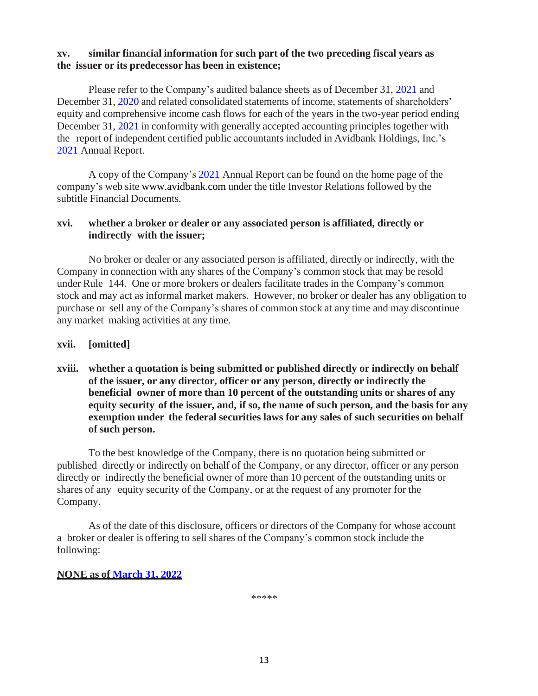### **xv. similar financial information for such part of the two preceding fiscal years as the issuer or its predecessor has been in existence;**

Please refer to the Company's audited balance sheets as of December 31, 2021 and December 31, 2020 and related consolidated statements of income, statements of shareholders' equity and comprehensive income cash flows for each of the years in the two-year period ending December 31, 2021 in conformity with generally accepted accounting principles together with the report of independent certified public accountants included in Avidbank Holdings, Inc.'s 2021 Annual Report.

A copy of the Company's 2021 Annual Report can be found on the home page of the company's web site www.avidbank.com under the title Investor Relations followed by the subtitle Financial Documents.

### **xvi. whether a broker or dealer or any associated person is affiliated, directly or indirectly with the issuer;**

No broker or dealer or any associated person is affiliated, directly or indirectly, with the Company in connection with any shares of the Company's common stock that may be resold under Rule 144. One or more brokers or dealers facilitate trades in the Company's common stock and may act as informal market makers. However, no broker or dealer has any obligation to purchase or sell any of the Company's shares of common stock at any time and may discontinue any market making activities at any time.

### **xvii. [omitted]**

**xviii. whether a quotation is being submitted or published directly or indirectly on behalf of the issuer, or any director, officer or any person, directly or indirectly the beneficial owner of more than 10 percent of the outstanding units or shares of any equity security of the issuer, and, if so, the name of such person, and the basis for any exemption under the federal securities laws for any sales of such securities on behalf of such person.**

To the best knowledge of the Company, there is no quotation being submitted or published directly or indirectly on behalf of the Company, or any director, officer or any person directly or indirectly the beneficial owner of more than 10 percent of the outstanding units or shares of any equity security of the Company, or at the request of any promoter for the Company.

As of the date of this disclosure, officers or directors of the Company for whose account a broker or dealer is offering to sell shares of the Company's common stock include the following:

**NONE as of March 31, 2022**

\*\*\*\*\*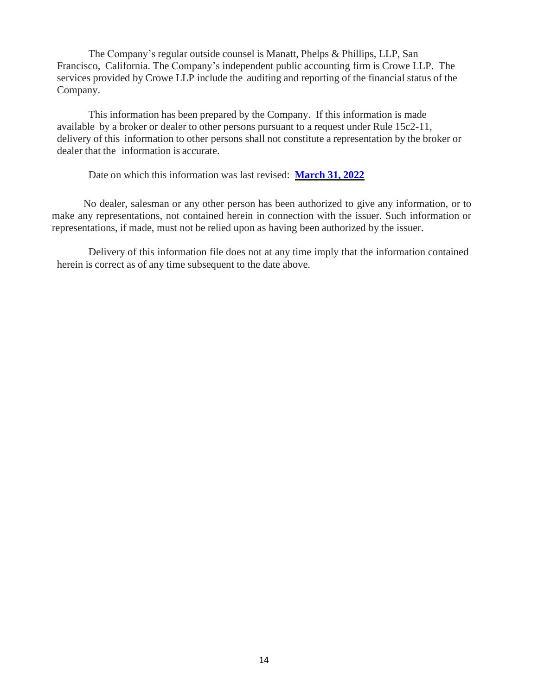The Company's regular outside counsel is Manatt, Phelps & Phillips, LLP, San Francisco, California. The Company's independent public accounting firm is Crowe LLP. The services provided by Crowe LLP include the auditing and reporting of the financial status of the Company.

This information has been prepared by the Company. If this information is made available by a broker or dealer to other persons pursuant to a request under Rule 15c2-11, delivery of this information to other persons shall not constitute a representation by the broker or dealer that the information is accurate.

Date on which this information was last revised: **March 31, 2022**

No dealer, salesman or any other person has been authorized to give any information, or to make any representations, not contained herein in connection with the issuer. Such information or representations, if made, must not be relied upon as having been authorized by the issuer.

Delivery of this information file does not at any time imply that the information contained herein is correct as of any time subsequent to the date above.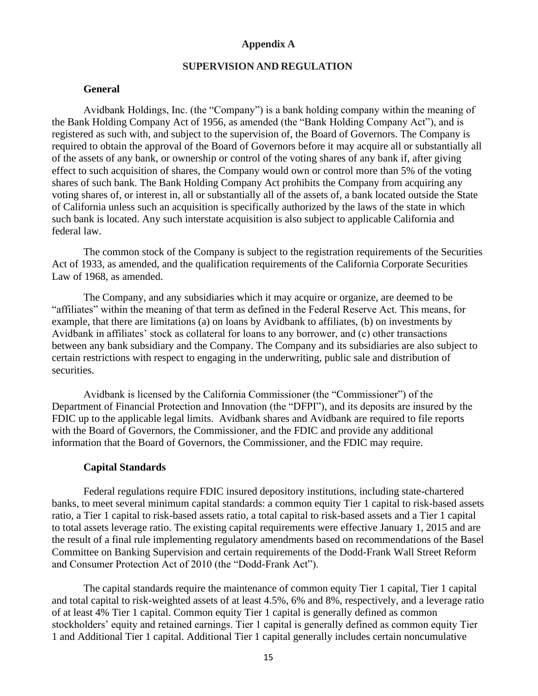### **Appendix A**

#### **SUPERVISION AND REGULATION**

### **General**

Avidbank Holdings, Inc. (the "Company") is a bank holding company within the meaning of the Bank Holding Company Act of 1956, as amended (the "Bank Holding Company Act"), and is registered as such with, and subject to the supervision of, the Board of Governors. The Company is required to obtain the approval of the Board of Governors before it may acquire all or substantially all of the assets of any bank, or ownership or control of the voting shares of any bank if, after giving effect to such acquisition of shares, the Company would own or control more than 5% of the voting shares of such bank. The Bank Holding Company Act prohibits the Company from acquiring any voting shares of, or interest in, all or substantially all of the assets of, a bank located outside the State of California unless such an acquisition is specifically authorized by the laws of the state in which such bank is located. Any such interstate acquisition is also subject to applicable California and federal law.

The common stock of the Company is subject to the registration requirements of the Securities Act of 1933, as amended, and the qualification requirements of the California Corporate Securities Law of 1968, as amended.

The Company, and any subsidiaries which it may acquire or organize, are deemed to be "affiliates" within the meaning of that term as defined in the Federal Reserve Act. This means, for example, that there are limitations (a) on loans by Avidbank to affiliates, (b) on investments by Avidbank in affiliates' stock as collateral for loans to any borrower, and (c) other transactions between any bank subsidiary and the Company. The Company and its subsidiaries are also subject to certain restrictions with respect to engaging in the underwriting, public sale and distribution of securities.

Avidbank is licensed by the California Commissioner (the "Commissioner") of the Department of Financial Protection and Innovation (the "DFPI"), and its deposits are insured by the FDIC up to the applicable legal limits. Avidbank shares and Avidbank are required to file reports with the Board of Governors, the Commissioner, and the FDIC and provide any additional information that the Board of Governors, the Commissioner, and the FDIC may require.

#### **Capital Standards**

Federal regulations require FDIC insured depository institutions, including state-chartered banks, to meet several minimum capital standards: a common equity Tier 1 capital to risk-based assets ratio, a Tier 1 capital to risk-based assets ratio, a total capital to risk-based assets and a Tier 1 capital to total assets leverage ratio. The existing capital requirements were effective January 1, 2015 and are the result of a final rule implementing regulatory amendments based on recommendations of the Basel Committee on Banking Supervision and certain requirements of the Dodd-Frank Wall Street Reform and Consumer Protection Act of 2010 (the "Dodd-Frank Act").

The capital standards require the maintenance of common equity Tier 1 capital, Tier 1 capital and total capital to risk-weighted assets of at least 4.5%, 6% and 8%, respectively, and a leverage ratio of at least 4% Tier 1 capital. Common equity Tier 1 capital is generally defined as common stockholders' equity and retained earnings. Tier 1 capital is generally defined as common equity Tier 1 and Additional Tier 1 capital. Additional Tier 1 capital generally includes certain noncumulative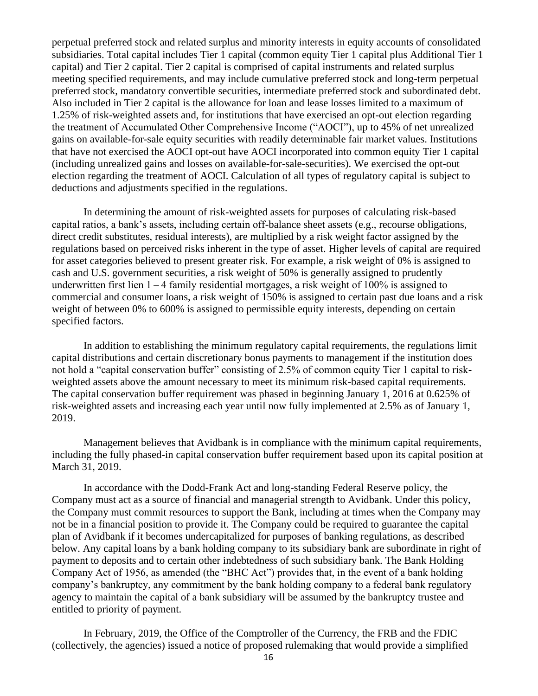perpetual preferred stock and related surplus and minority interests in equity accounts of consolidated subsidiaries. Total capital includes Tier 1 capital (common equity Tier 1 capital plus Additional Tier 1 capital) and Tier 2 capital. Tier 2 capital is comprised of capital instruments and related surplus meeting specified requirements, and may include cumulative preferred stock and long-term perpetual preferred stock, mandatory convertible securities, intermediate preferred stock and subordinated debt. Also included in Tier 2 capital is the allowance for loan and lease losses limited to a maximum of 1.25% of risk-weighted assets and, for institutions that have exercised an opt-out election regarding the treatment of Accumulated Other Comprehensive Income ("AOCI"), up to 45% of net unrealized gains on available-for-sale equity securities with readily determinable fair market values. Institutions that have not exercised the AOCI opt-out have AOCI incorporated into common equity Tier 1 capital (including unrealized gains and losses on available-for-sale-securities). We exercised the opt-out election regarding the treatment of AOCI. Calculation of all types of regulatory capital is subject to deductions and adjustments specified in the regulations.

In determining the amount of risk-weighted assets for purposes of calculating risk-based capital ratios, a bank's assets, including certain off-balance sheet assets (e.g., recourse obligations, direct credit substitutes, residual interests), are multiplied by a risk weight factor assigned by the regulations based on perceived risks inherent in the type of asset. Higher levels of capital are required for asset categories believed to present greater risk. For example, a risk weight of 0% is assigned to cash and U.S. government securities, a risk weight of 50% is generally assigned to prudently underwritten first lien  $1-4$  family residential mortgages, a risk weight of  $100\%$  is assigned to commercial and consumer loans, a risk weight of 150% is assigned to certain past due loans and a risk weight of between 0% to 600% is assigned to permissible equity interests, depending on certain specified factors.

In addition to establishing the minimum regulatory capital requirements, the regulations limit capital distributions and certain discretionary bonus payments to management if the institution does not hold a "capital conservation buffer" consisting of 2.5% of common equity Tier 1 capital to riskweighted assets above the amount necessary to meet its minimum risk-based capital requirements. The capital conservation buffer requirement was phased in beginning January 1, 2016 at 0.625% of risk-weighted assets and increasing each year until now fully implemented at 2.5% as of January 1, 2019.

Management believes that Avidbank is in compliance with the minimum capital requirements, including the fully phased-in capital conservation buffer requirement based upon its capital position at March 31, 2019.

In accordance with the Dodd-Frank Act and long-standing Federal Reserve policy, the Company must act as a source of financial and managerial strength to Avidbank. Under this policy, the Company must commit resources to support the Bank, including at times when the Company may not be in a financial position to provide it. The Company could be required to guarantee the capital plan of Avidbank if it becomes undercapitalized for purposes of banking regulations, as described below. Any capital loans by a bank holding company to its subsidiary bank are subordinate in right of payment to deposits and to certain other indebtedness of such subsidiary bank. The Bank Holding Company Act of 1956, as amended (the "BHC Act") provides that, in the event of a bank holding company's bankruptcy, any commitment by the bank holding company to a federal bank regulatory agency to maintain the capital of a bank subsidiary will be assumed by the bankruptcy trustee and entitled to priority of payment.

In February, 2019, the Office of the Comptroller of the Currency, the FRB and the FDIC (collectively, the agencies) issued a notice of proposed rulemaking that would provide a simplified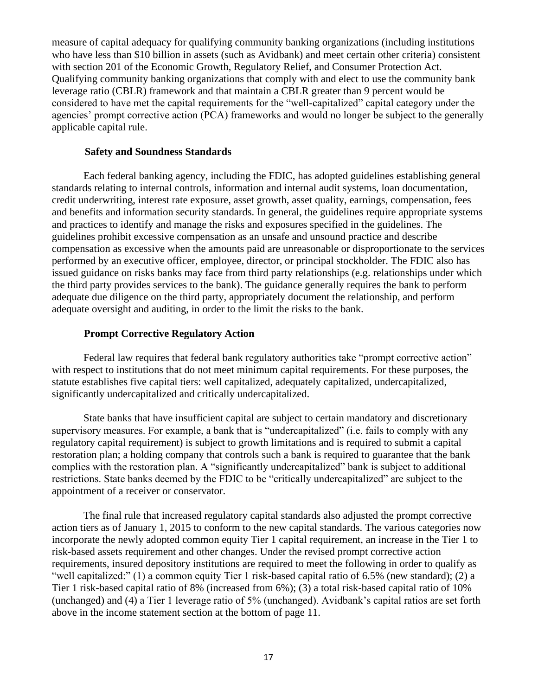measure of capital adequacy for qualifying community banking organizations (including institutions who have less than \$10 billion in assets (such as Avidbank) and meet certain other criteria) consistent with section 201 of the Economic Growth, Regulatory Relief, and Consumer Protection Act. Qualifying community banking organizations that comply with and elect to use the community bank leverage ratio (CBLR) framework and that maintain a CBLR greater than 9 percent would be considered to have met the capital requirements for the "well-capitalized" capital category under the agencies' prompt corrective action (PCA) frameworks and would no longer be subject to the generally applicable capital rule.

### **Safety and Soundness Standards**

Each federal banking agency, including the FDIC, has adopted guidelines establishing general standards relating to internal controls, information and internal audit systems, loan documentation, credit underwriting, interest rate exposure, asset growth, asset quality, earnings, compensation, fees and benefits and information security standards. In general, the guidelines require appropriate systems and practices to identify and manage the risks and exposures specified in the guidelines. The guidelines prohibit excessive compensation as an unsafe and unsound practice and describe compensation as excessive when the amounts paid are unreasonable or disproportionate to the services performed by an executive officer, employee, director, or principal stockholder. The FDIC also has issued guidance on risks banks may face from third party relationships (e.g. relationships under which the third party provides services to the bank). The guidance generally requires the bank to perform adequate due diligence on the third party, appropriately document the relationship, and perform adequate oversight and auditing, in order to the limit the risks to the bank.

### **Prompt Corrective Regulatory Action**

Federal law requires that federal bank regulatory authorities take "prompt corrective action" with respect to institutions that do not meet minimum capital requirements. For these purposes, the statute establishes five capital tiers: well capitalized, adequately capitalized, undercapitalized, significantly undercapitalized and critically undercapitalized.

State banks that have insufficient capital are subject to certain mandatory and discretionary supervisory measures. For example, a bank that is "undercapitalized" (i.e. fails to comply with any regulatory capital requirement) is subject to growth limitations and is required to submit a capital restoration plan; a holding company that controls such a bank is required to guarantee that the bank complies with the restoration plan. A "significantly undercapitalized" bank is subject to additional restrictions. State banks deemed by the FDIC to be "critically undercapitalized" are subject to the appointment of a receiver or conservator.

The final rule that increased regulatory capital standards also adjusted the prompt corrective action tiers as of January 1, 2015 to conform to the new capital standards. The various categories now incorporate the newly adopted common equity Tier 1 capital requirement, an increase in the Tier 1 to risk-based assets requirement and other changes. Under the revised prompt corrective action requirements, insured depository institutions are required to meet the following in order to qualify as "well capitalized:" (1) a common equity Tier 1 risk-based capital ratio of 6.5% (new standard); (2) a Tier 1 risk-based capital ratio of 8% (increased from 6%); (3) a total risk-based capital ratio of 10% (unchanged) and (4) a Tier 1 leverage ratio of 5% (unchanged). Avidbank's capital ratios are set forth above in the income statement section at the bottom of page 11.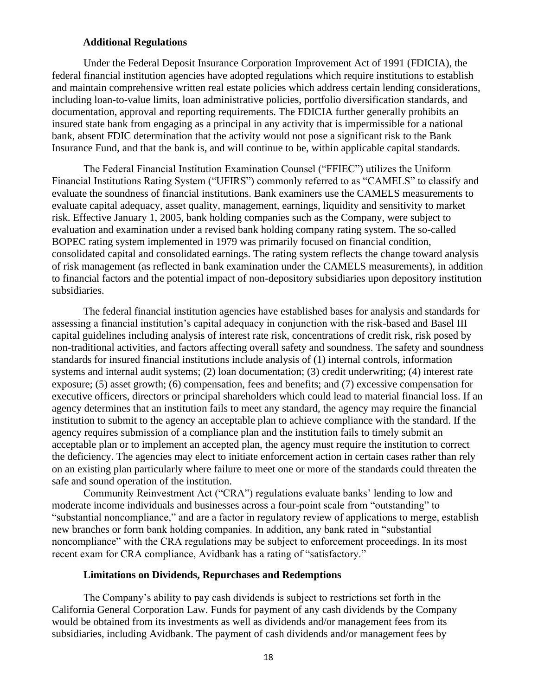### **Additional Regulations**

Under the Federal Deposit Insurance Corporation Improvement Act of 1991 (FDICIA), the federal financial institution agencies have adopted regulations which require institutions to establish and maintain comprehensive written real estate policies which address certain lending considerations, including loan-to-value limits, loan administrative policies, portfolio diversification standards, and documentation, approval and reporting requirements. The FDICIA further generally prohibits an insured state bank from engaging as a principal in any activity that is impermissible for a national bank, absent FDIC determination that the activity would not pose a significant risk to the Bank Insurance Fund, and that the bank is, and will continue to be, within applicable capital standards.

The Federal Financial Institution Examination Counsel ("FFIEC") utilizes the Uniform Financial Institutions Rating System ("UFIRS") commonly referred to as "CAMELS" to classify and evaluate the soundness of financial institutions. Bank examiners use the CAMELS measurements to evaluate capital adequacy, asset quality, management, earnings, liquidity and sensitivity to market risk. Effective January 1, 2005, bank holding companies such as the Company, were subject to evaluation and examination under a revised bank holding company rating system. The so-called BOPEC rating system implemented in 1979 was primarily focused on financial condition, consolidated capital and consolidated earnings. The rating system reflects the change toward analysis of risk management (as reflected in bank examination under the CAMELS measurements), in addition to financial factors and the potential impact of non-depository subsidiaries upon depository institution subsidiaries.

The federal financial institution agencies have established bases for analysis and standards for assessing a financial institution's capital adequacy in conjunction with the risk-based and Basel III capital guidelines including analysis of interest rate risk, concentrations of credit risk, risk posed by non-traditional activities, and factors affecting overall safety and soundness. The safety and soundness standards for insured financial institutions include analysis of (1) internal controls, information systems and internal audit systems; (2) loan documentation; (3) credit underwriting; (4) interest rate exposure; (5) asset growth; (6) compensation, fees and benefits; and (7) excessive compensation for executive officers, directors or principal shareholders which could lead to material financial loss. If an agency determines that an institution fails to meet any standard, the agency may require the financial institution to submit to the agency an acceptable plan to achieve compliance with the standard. If the agency requires submission of a compliance plan and the institution fails to timely submit an acceptable plan or to implement an accepted plan, the agency must require the institution to correct the deficiency. The agencies may elect to initiate enforcement action in certain cases rather than rely on an existing plan particularly where failure to meet one or more of the standards could threaten the safe and sound operation of the institution.

Community Reinvestment Act ("CRA") regulations evaluate banks' lending to low and moderate income individuals and businesses across a four-point scale from "outstanding" to "substantial noncompliance," and are a factor in regulatory review of applications to merge, establish new branches or form bank holding companies. In addition, any bank rated in "substantial noncompliance" with the CRA regulations may be subject to enforcement proceedings. In its most recent exam for CRA compliance, Avidbank has a rating of "satisfactory."

#### **Limitations on Dividends, Repurchases and Redemptions**

The Company's ability to pay cash dividends is subject to restrictions set forth in the California General Corporation Law. Funds for payment of any cash dividends by the Company would be obtained from its investments as well as dividends and/or management fees from its subsidiaries, including Avidbank. The payment of cash dividends and/or management fees by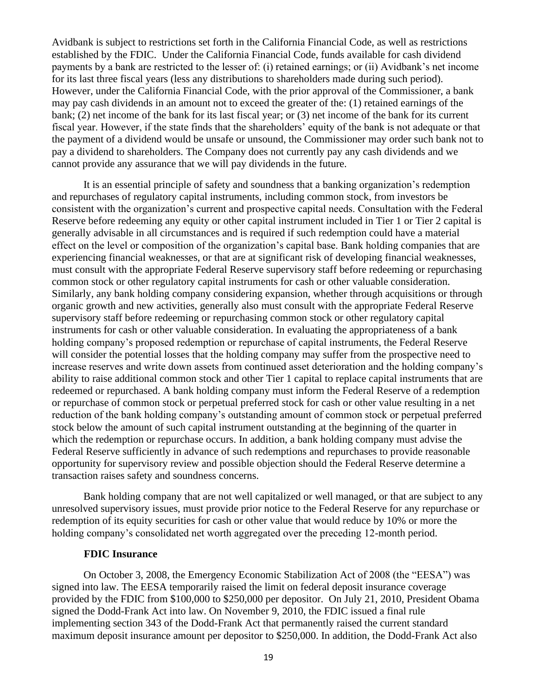Avidbank is subject to restrictions set forth in the California Financial Code, as well as restrictions established by the FDIC. Under the California Financial Code, funds available for cash dividend payments by a bank are restricted to the lesser of: (i) retained earnings; or (ii) Avidbank's net income for its last three fiscal years (less any distributions to shareholders made during such period). However, under the California Financial Code, with the prior approval of the Commissioner, a bank may pay cash dividends in an amount not to exceed the greater of the: (1) retained earnings of the bank; (2) net income of the bank for its last fiscal year; or (3) net income of the bank for its current fiscal year. However, if the state finds that the shareholders' equity of the bank is not adequate or that the payment of a dividend would be unsafe or unsound, the Commissioner may order such bank not to pay a dividend to shareholders. The Company does not currently pay any cash dividends and we cannot provide any assurance that we will pay dividends in the future.

It is an essential principle of safety and soundness that a banking organization's redemption and repurchases of regulatory capital instruments, including common stock, from investors be consistent with the organization's current and prospective capital needs. Consultation with the Federal Reserve before redeeming any equity or other capital instrument included in Tier 1 or Tier 2 capital is generally advisable in all circumstances and is required if such redemption could have a material effect on the level or composition of the organization's capital base. Bank holding companies that are experiencing financial weaknesses, or that are at significant risk of developing financial weaknesses, must consult with the appropriate Federal Reserve supervisory staff before redeeming or repurchasing common stock or other regulatory capital instruments for cash or other valuable consideration. Similarly, any bank holding company considering expansion, whether through acquisitions or through organic growth and new activities, generally also must consult with the appropriate Federal Reserve supervisory staff before redeeming or repurchasing common stock or other regulatory capital instruments for cash or other valuable consideration. In evaluating the appropriateness of a bank holding company's proposed redemption or repurchase of capital instruments, the Federal Reserve will consider the potential losses that the holding company may suffer from the prospective need to increase reserves and write down assets from continued asset deterioration and the holding company's ability to raise additional common stock and other Tier 1 capital to replace capital instruments that are redeemed or repurchased. A bank holding company must inform the Federal Reserve of a redemption or repurchase of common stock or perpetual preferred stock for cash or other value resulting in a net reduction of the bank holding company's outstanding amount of common stock or perpetual preferred stock below the amount of such capital instrument outstanding at the beginning of the quarter in which the redemption or repurchase occurs. In addition, a bank holding company must advise the Federal Reserve sufficiently in advance of such redemptions and repurchases to provide reasonable opportunity for supervisory review and possible objection should the Federal Reserve determine a transaction raises safety and soundness concerns.

Bank holding company that are not well capitalized or well managed, or that are subject to any unresolved supervisory issues, must provide prior notice to the Federal Reserve for any repurchase or redemption of its equity securities for cash or other value that would reduce by 10% or more the holding company's consolidated net worth aggregated over the preceding 12-month period.

#### **FDIC Insurance**

On October 3, 2008, the Emergency Economic Stabilization Act of 2008 (the "EESA") was signed into law. The EESA temporarily raised the limit on federal deposit insurance coverage provided by the FDIC from \$100,000 to \$250,000 per depositor. On July 21, 2010, President Obama signed the Dodd-Frank Act into law. On November 9, 2010, the FDIC issued a final rule implementing section 343 of the Dodd-Frank Act that permanently raised the current standard maximum deposit insurance amount per depositor to \$250,000. In addition, the Dodd-Frank Act also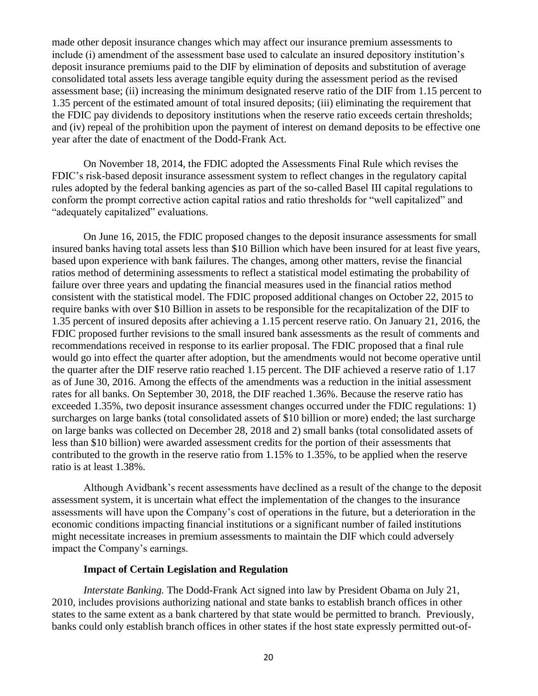made other deposit insurance changes which may affect our insurance premium assessments to include (i) amendment of the assessment base used to calculate an insured depository institution's deposit insurance premiums paid to the DIF by elimination of deposits and substitution of average consolidated total assets less average tangible equity during the assessment period as the revised assessment base; (ii) increasing the minimum designated reserve ratio of the DIF from 1.15 percent to 1.35 percent of the estimated amount of total insured deposits; (iii) eliminating the requirement that the FDIC pay dividends to depository institutions when the reserve ratio exceeds certain thresholds; and (iv) repeal of the prohibition upon the payment of interest on demand deposits to be effective one year after the date of enactment of the Dodd-Frank Act.

On November 18, 2014, the FDIC adopted the Assessments Final Rule which revises the FDIC's risk-based deposit insurance assessment system to reflect changes in the regulatory capital rules adopted by the federal banking agencies as part of the so-called Basel III capital regulations to conform the prompt corrective action capital ratios and ratio thresholds for "well capitalized" and "adequately capitalized" evaluations.

On June 16, 2015, the FDIC proposed changes to the deposit insurance assessments for small insured banks having total assets less than \$10 Billion which have been insured for at least five years, based upon experience with bank failures. The changes, among other matters, revise the financial ratios method of determining assessments to reflect a statistical model estimating the probability of failure over three years and updating the financial measures used in the financial ratios method consistent with the statistical model. The FDIC proposed additional changes on October 22, 2015 to require banks with over \$10 Billion in assets to be responsible for the recapitalization of the DIF to 1.35 percent of insured deposits after achieving a 1.15 percent reserve ratio. On January 21, 2016, the FDIC proposed further revisions to the small insured bank assessments as the result of comments and recommendations received in response to its earlier proposal. The FDIC proposed that a final rule would go into effect the quarter after adoption, but the amendments would not become operative until the quarter after the DIF reserve ratio reached 1.15 percent. The DIF achieved a reserve ratio of 1.17 as of June 30, 2016. Among the effects of the amendments was a reduction in the initial assessment rates for all banks. On September 30, 2018, the DIF reached 1.36%. Because the reserve ratio has exceeded 1.35%, two deposit insurance assessment changes occurred under the FDIC regulations: 1) surcharges on large banks (total consolidated assets of \$10 billion or more) ended; the last surcharge on large banks was collected on December 28, 2018 and 2) small banks (total consolidated assets of less than \$10 billion) were awarded assessment credits for the portion of their assessments that contributed to the growth in the reserve ratio from 1.15% to 1.35%, to be applied when the reserve ratio is at least 1.38%.

Although Avidbank's recent assessments have declined as a result of the change to the deposit assessment system, it is uncertain what effect the implementation of the changes to the insurance assessments will have upon the Company's cost of operations in the future, but a deterioration in the economic conditions impacting financial institutions or a significant number of failed institutions might necessitate increases in premium assessments to maintain the DIF which could adversely impact the Company's earnings.

### **Impact of Certain Legislation and Regulation**

*Interstate Banking.* The Dodd-Frank Act signed into law by President Obama on July 21, 2010, includes provisions authorizing national and state banks to establish branch offices in other states to the same extent as a bank chartered by that state would be permitted to branch. Previously, banks could only establish branch offices in other states if the host state expressly permitted out-of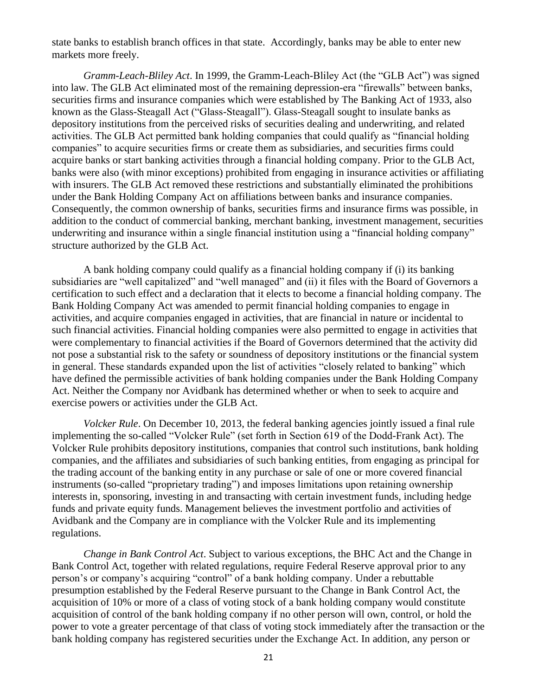state banks to establish branch offices in that state. Accordingly, banks may be able to enter new markets more freely.

*Gramm-Leach-Bliley Act*. In 1999, the Gramm-Leach-Bliley Act (the "GLB Act") was signed into law. The GLB Act eliminated most of the remaining depression-era "firewalls" between banks, securities firms and insurance companies which were established by The Banking Act of 1933, also known as the Glass-Steagall Act ("Glass-Steagall"). Glass-Steagall sought to insulate banks as depository institutions from the perceived risks of securities dealing and underwriting, and related activities. The GLB Act permitted bank holding companies that could qualify as "financial holding companies" to acquire securities firms or create them as subsidiaries, and securities firms could acquire banks or start banking activities through a financial holding company. Prior to the GLB Act, banks were also (with minor exceptions) prohibited from engaging in insurance activities or affiliating with insurers. The GLB Act removed these restrictions and substantially eliminated the prohibitions under the Bank Holding Company Act on affiliations between banks and insurance companies. Consequently, the common ownership of banks, securities firms and insurance firms was possible, in addition to the conduct of commercial banking, merchant banking, investment management, securities underwriting and insurance within a single financial institution using a "financial holding company" structure authorized by the GLB Act.

A bank holding company could qualify as a financial holding company if (i) its banking subsidiaries are "well capitalized" and "well managed" and (ii) it files with the Board of Governors a certification to such effect and a declaration that it elects to become a financial holding company. The Bank Holding Company Act was amended to permit financial holding companies to engage in activities, and acquire companies engaged in activities, that are financial in nature or incidental to such financial activities. Financial holding companies were also permitted to engage in activities that were complementary to financial activities if the Board of Governors determined that the activity did not pose a substantial risk to the safety or soundness of depository institutions or the financial system in general. These standards expanded upon the list of activities "closely related to banking" which have defined the permissible activities of bank holding companies under the Bank Holding Company Act. Neither the Company nor Avidbank has determined whether or when to seek to acquire and exercise powers or activities under the GLB Act.

*Volcker Rule*. On December 10, 2013, the federal banking agencies jointly issued a final rule implementing the so-called "Volcker Rule" (set forth in Section 619 of the Dodd-Frank Act). The Volcker Rule prohibits depository institutions, companies that control such institutions, bank holding companies, and the affiliates and subsidiaries of such banking entities, from engaging as principal for the trading account of the banking entity in any purchase or sale of one or more covered financial instruments (so-called "proprietary trading") and imposes limitations upon retaining ownership interests in, sponsoring, investing in and transacting with certain investment funds, including hedge funds and private equity funds. Management believes the investment portfolio and activities of Avidbank and the Company are in compliance with the Volcker Rule and its implementing regulations.

*Change in Bank Control Act*. Subject to various exceptions, the BHC Act and the Change in Bank Control Act, together with related regulations, require Federal Reserve approval prior to any person's or company's acquiring "control" of a bank holding company. Under a rebuttable presumption established by the Federal Reserve pursuant to the Change in Bank Control Act, the acquisition of 10% or more of a class of voting stock of a bank holding company would constitute acquisition of control of the bank holding company if no other person will own, control, or hold the power to vote a greater percentage of that class of voting stock immediately after the transaction or the bank holding company has registered securities under the Exchange Act. In addition, any person or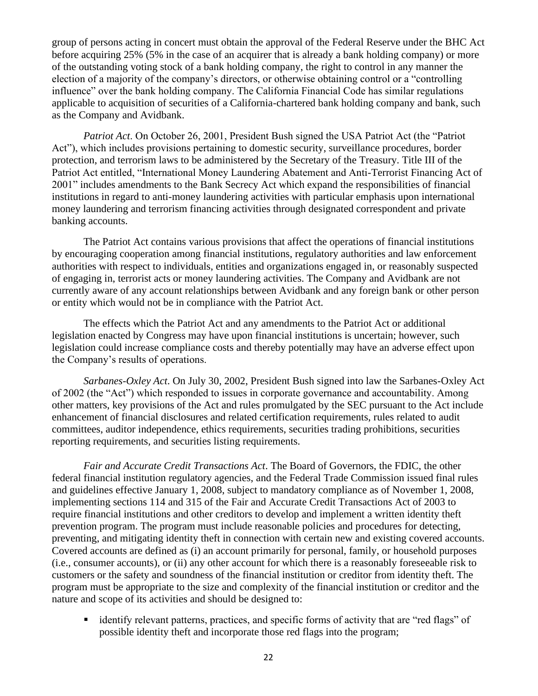group of persons acting in concert must obtain the approval of the Federal Reserve under the BHC Act before acquiring 25% (5% in the case of an acquirer that is already a bank holding company) or more of the outstanding voting stock of a bank holding company, the right to control in any manner the election of a majority of the company's directors, or otherwise obtaining control or a "controlling influence" over the bank holding company. The California Financial Code has similar regulations applicable to acquisition of securities of a California-chartered bank holding company and bank, such as the Company and Avidbank.

*Patriot Act*. On October 26, 2001, President Bush signed the USA Patriot Act (the "Patriot Act"), which includes provisions pertaining to domestic security, surveillance procedures, border protection, and terrorism laws to be administered by the Secretary of the Treasury. Title III of the Patriot Act entitled, "International Money Laundering Abatement and Anti-Terrorist Financing Act of 2001" includes amendments to the Bank Secrecy Act which expand the responsibilities of financial institutions in regard to anti-money laundering activities with particular emphasis upon international money laundering and terrorism financing activities through designated correspondent and private banking accounts.

The Patriot Act contains various provisions that affect the operations of financial institutions by encouraging cooperation among financial institutions, regulatory authorities and law enforcement authorities with respect to individuals, entities and organizations engaged in, or reasonably suspected of engaging in, terrorist acts or money laundering activities. The Company and Avidbank are not currently aware of any account relationships between Avidbank and any foreign bank or other person or entity which would not be in compliance with the Patriot Act.

The effects which the Patriot Act and any amendments to the Patriot Act or additional legislation enacted by Congress may have upon financial institutions is uncertain; however, such legislation could increase compliance costs and thereby potentially may have an adverse effect upon the Company's results of operations.

*Sarbanes-Oxley Act*. On July 30, 2002, President Bush signed into law the Sarbanes-Oxley Act of 2002 (the "Act") which responded to issues in corporate governance and accountability. Among other matters, key provisions of the Act and rules promulgated by the SEC pursuant to the Act include enhancement of financial disclosures and related certification requirements, rules related to audit committees, auditor independence, ethics requirements, securities trading prohibitions, securities reporting requirements, and securities listing requirements.

*Fair and Accurate Credit Transactions Act*. The Board of Governors, the FDIC, the other federal financial institution regulatory agencies, and the Federal Trade Commission issued final rules and guidelines effective January 1, 2008, subject to mandatory compliance as of November 1, 2008, implementing sections 114 and 315 of the Fair and Accurate Credit Transactions Act of 2003 to require financial institutions and other creditors to develop and implement a written identity theft prevention program. The program must include reasonable policies and procedures for detecting, preventing, and mitigating identity theft in connection with certain new and existing covered accounts. Covered accounts are defined as (i) an account primarily for personal, family, or household purposes (i.e., consumer accounts), or (ii) any other account for which there is a reasonably foreseeable risk to customers or the safety and soundness of the financial institution or creditor from identity theft. The program must be appropriate to the size and complexity of the financial institution or creditor and the nature and scope of its activities and should be designed to:

identify relevant patterns, practices, and specific forms of activity that are "red flags" of possible identity theft and incorporate those red flags into the program;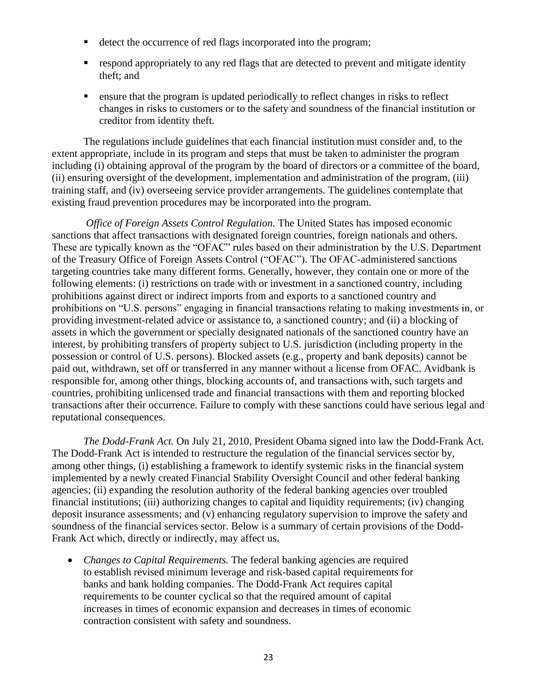- detect the occurrence of red flags incorporated into the program;
- respond appropriately to any red flags that are detected to prevent and mitigate identity theft; and
- ensure that the program is updated periodically to reflect changes in risks to reflect changes in risks to customers or to the safety and soundness of the financial institution or creditor from identity theft.

The regulations include guidelines that each financial institution must consider and, to the extent appropriate, include in its program and steps that must be taken to administer the program including (i) obtaining approval of the program by the board of directors or a committee of the board, (ii) ensuring oversight of the development, implementation and administration of the program, (iii) training staff, and (iv) overseeing service provider arrangements. The guidelines contemplate that existing fraud prevention procedures may be incorporated into the program.

*Office of Foreign Assets Control Regulation.* The United States has imposed economic sanctions that affect transactions with designated foreign countries, foreign nationals and others. These are typically known as the "OFAC" rules based on their administration by the U.S. Department of the Treasury Office of Foreign Assets Control ("OFAC"). The OFAC-administered sanctions targeting countries take many different forms. Generally, however, they contain one or more of the following elements: (i) restrictions on trade with or investment in a sanctioned country, including prohibitions against direct or indirect imports from and exports to a sanctioned country and prohibitions on "U.S. persons" engaging in financial transactions relating to making investments in, or providing investment-related advice or assistance to, a sanctioned country; and (ii) a blocking of assets in which the government or specially designated nationals of the sanctioned country have an interest, by prohibiting transfers of property subject to U.S. jurisdiction (including property in the possession or control of U.S. persons). Blocked assets (e.g., property and bank deposits) cannot be paid out, withdrawn, set off or transferred in any manner without a license from OFAC. Avidbank is responsible for, among other things, blocking accounts of, and transactions with, such targets and countries, prohibiting unlicensed trade and financial transactions with them and reporting blocked transactions after their occurrence. Failure to comply with these sanctions could have serious legal and reputational consequences.

*The Dodd-Frank Act.* On July 21, 2010, President Obama signed into law the Dodd-Frank Act. The Dodd-Frank Act is intended to restructure the regulation of the financial services sector by, among other things, (i) establishing a framework to identify systemic risks in the financial system implemented by a newly created Financial Stability Oversight Council and other federal banking agencies; (ii) expanding the resolution authority of the federal banking agencies over troubled financial institutions; (iii) authorizing changes to capital and liquidity requirements; (iv) changing deposit insurance assessments; and (v) enhancing regulatory supervision to improve the safety and soundness of the financial services sector. Below is a summary of certain provisions of the Dodd-Frank Act which, directly or indirectly, may affect us.

• *Changes to Capital Requirements.* The federal banking agencies are required to establish revised minimum leverage and risk-based capital requirements for banks and bank holding companies. The Dodd-Frank Act requires capital requirements to be counter cyclical so that the required amount of capital increases in times of economic expansion and decreases in times of economic contraction consistent with safety and soundness.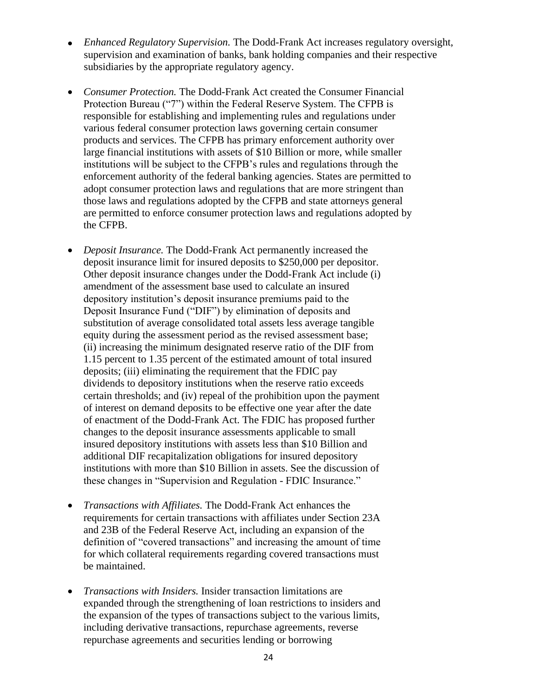- *Enhanced Regulatory Supervision*. The Dodd-Frank Act increases regulatory oversight, supervision and examination of banks, bank holding companies and their respective subsidiaries by the appropriate regulatory agency.
- *Consumer Protection.* The Dodd-Frank Act created the Consumer Financial Protection Bureau ("7") within the Federal Reserve System. The CFPB is responsible for establishing and implementing rules and regulations under various federal consumer protection laws governing certain consumer products and services. The CFPB has primary enforcement authority over large financial institutions with assets of \$10 Billion or more, while smaller institutions will be subject to the CFPB's rules and regulations through the enforcement authority of the federal banking agencies. States are permitted to adopt consumer protection laws and regulations that are more stringent than those laws and regulations adopted by the CFPB and state attorneys general are permitted to enforce consumer protection laws and regulations adopted by the CFPB.
- *Deposit Insurance.* The Dodd-Frank Act permanently increased the deposit insurance limit for insured deposits to \$250,000 per depositor. Other deposit insurance changes under the Dodd-Frank Act include (i) amendment of the assessment base used to calculate an insured depository institution's deposit insurance premiums paid to the Deposit Insurance Fund ("DIF") by elimination of deposits and substitution of average consolidated total assets less average tangible equity during the assessment period as the revised assessment base; (ii) increasing the minimum designated reserve ratio of the DIF from 1.15 percent to 1.35 percent of the estimated amount of total insured deposits; (iii) eliminating the requirement that the FDIC pay dividends to depository institutions when the reserve ratio exceeds certain thresholds; and (iv) repeal of the prohibition upon the payment of interest on demand deposits to be effective one year after the date of enactment of the Dodd-Frank Act. The FDIC has proposed further changes to the deposit insurance assessments applicable to small insured depository institutions with assets less than \$10 Billion and additional DIF recapitalization obligations for insured depository institutions with more than \$10 Billion in assets. See the discussion of these changes in "Supervision and Regulation - FDIC Insurance."
- *Transactions with Affiliates.* The Dodd-Frank Act enhances the requirements for certain transactions with affiliates under Section 23A and 23B of the Federal Reserve Act, including an expansion of the definition of "covered transactions" and increasing the amount of time for which collateral requirements regarding covered transactions must be maintained.
- *Transactions with Insiders.* Insider transaction limitations are expanded through the strengthening of loan restrictions to insiders and the expansion of the types of transactions subject to the various limits, including derivative transactions, repurchase agreements, reverse repurchase agreements and securities lending or borrowing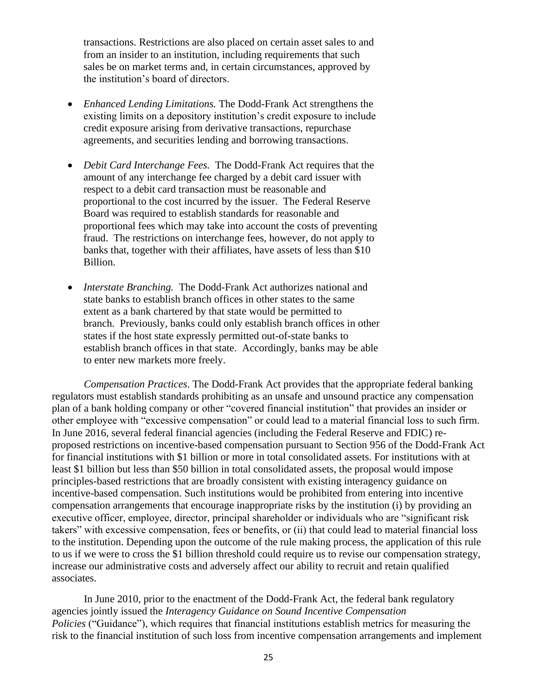transactions. Restrictions are also placed on certain asset sales to and from an insider to an institution, including requirements that such sales be on market terms and, in certain circumstances, approved by the institution's board of directors.

- *Enhanced Lending Limitations.* The Dodd-Frank Act strengthens the existing limits on a depository institution's credit exposure to include credit exposure arising from derivative transactions, repurchase agreements, and securities lending and borrowing transactions.
- *Debit Card Interchange Fees.* The Dodd-Frank Act requires that the amount of any interchange fee charged by a debit card issuer with respect to a debit card transaction must be reasonable and proportional to the cost incurred by the issuer. The Federal Reserve Board was required to establish standards for reasonable and proportional fees which may take into account the costs of preventing fraud. The restrictions on interchange fees, however, do not apply to banks that, together with their affiliates, have assets of less than \$10 Billion.
- *Interstate Branching.* The Dodd-Frank Act authorizes national and state banks to establish branch offices in other states to the same extent as a bank chartered by that state would be permitted to branch. Previously, banks could only establish branch offices in other states if the host state expressly permitted out-of-state banks to establish branch offices in that state. Accordingly, banks may be able to enter new markets more freely.

*Compensation Practices*. The Dodd-Frank Act provides that the appropriate federal banking regulators must establish standards prohibiting as an unsafe and unsound practice any compensation plan of a bank holding company or other "covered financial institution" that provides an insider or other employee with "excessive compensation" or could lead to a material financial loss to such firm. In June 2016, several federal financial agencies (including the Federal Reserve and FDIC) reproposed restrictions on incentive-based compensation pursuant to Section 956 of the Dodd-Frank Act for financial institutions with \$1 billion or more in total consolidated assets. For institutions with at least \$1 billion but less than \$50 billion in total consolidated assets, the proposal would impose principles-based restrictions that are broadly consistent with existing interagency guidance on incentive-based compensation. Such institutions would be prohibited from entering into incentive compensation arrangements that encourage inappropriate risks by the institution (i) by providing an executive officer, employee, director, principal shareholder or individuals who are "significant risk takers" with excessive compensation, fees or benefits, or (ii) that could lead to material financial loss to the institution. Depending upon the outcome of the rule making process, the application of this rule to us if we were to cross the \$1 billion threshold could require us to revise our compensation strategy, increase our administrative costs and adversely affect our ability to recruit and retain qualified associates.

In June 2010, prior to the enactment of the Dodd-Frank Act, the federal bank regulatory agencies jointly issued the *Interagency Guidance on Sound Incentive Compensation Policies* ("Guidance"), which requires that financial institutions establish metrics for measuring the risk to the financial institution of such loss from incentive compensation arrangements and implement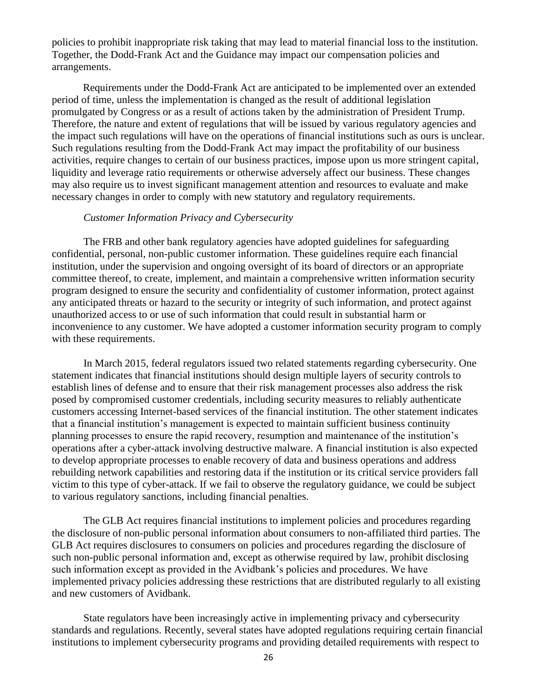policies to prohibit inappropriate risk taking that may lead to material financial loss to the institution. Together, the Dodd-Frank Act and the Guidance may impact our compensation policies and arrangements.

Requirements under the Dodd-Frank Act are anticipated to be implemented over an extended period of time, unless the implementation is changed as the result of additional legislation promulgated by Congress or as a result of actions taken by the administration of President Trump. Therefore, the nature and extent of regulations that will be issued by various regulatory agencies and the impact such regulations will have on the operations of financial institutions such as ours is unclear. Such regulations resulting from the Dodd-Frank Act may impact the profitability of our business activities, require changes to certain of our business practices, impose upon us more stringent capital, liquidity and leverage ratio requirements or otherwise adversely affect our business. These changes may also require us to invest significant management attention and resources to evaluate and make necessary changes in order to comply with new statutory and regulatory requirements.

### *Customer Information Privacy and Cybersecurity*

The FRB and other bank regulatory agencies have adopted guidelines for safeguarding confidential, personal, non-public customer information. These guidelines require each financial institution, under the supervision and ongoing oversight of its board of directors or an appropriate committee thereof, to create, implement, and maintain a comprehensive written information security program designed to ensure the security and confidentiality of customer information, protect against any anticipated threats or hazard to the security or integrity of such information, and protect against unauthorized access to or use of such information that could result in substantial harm or inconvenience to any customer. We have adopted a customer information security program to comply with these requirements.

In March 2015, federal regulators issued two related statements regarding cybersecurity. One statement indicates that financial institutions should design multiple layers of security controls to establish lines of defense and to ensure that their risk management processes also address the risk posed by compromised customer credentials, including security measures to reliably authenticate customers accessing Internet-based services of the financial institution. The other statement indicates that a financial institution's management is expected to maintain sufficient business continuity planning processes to ensure the rapid recovery, resumption and maintenance of the institution's operations after a cyber-attack involving destructive malware. A financial institution is also expected to develop appropriate processes to enable recovery of data and business operations and address rebuilding network capabilities and restoring data if the institution or its critical service providers fall victim to this type of cyber-attack. If we fail to observe the regulatory guidance, we could be subject to various regulatory sanctions, including financial penalties.

The GLB Act requires financial institutions to implement policies and procedures regarding the disclosure of non-public personal information about consumers to non-affiliated third parties. The GLB Act requires disclosures to consumers on policies and procedures regarding the disclosure of such non-public personal information and, except as otherwise required by law, prohibit disclosing such information except as provided in the Avidbank's policies and procedures. We have implemented privacy policies addressing these restrictions that are distributed regularly to all existing and new customers of Avidbank.

State regulators have been increasingly active in implementing privacy and cybersecurity standards and regulations. Recently, several states have adopted regulations requiring certain financial institutions to implement cybersecurity programs and providing detailed requirements with respect to